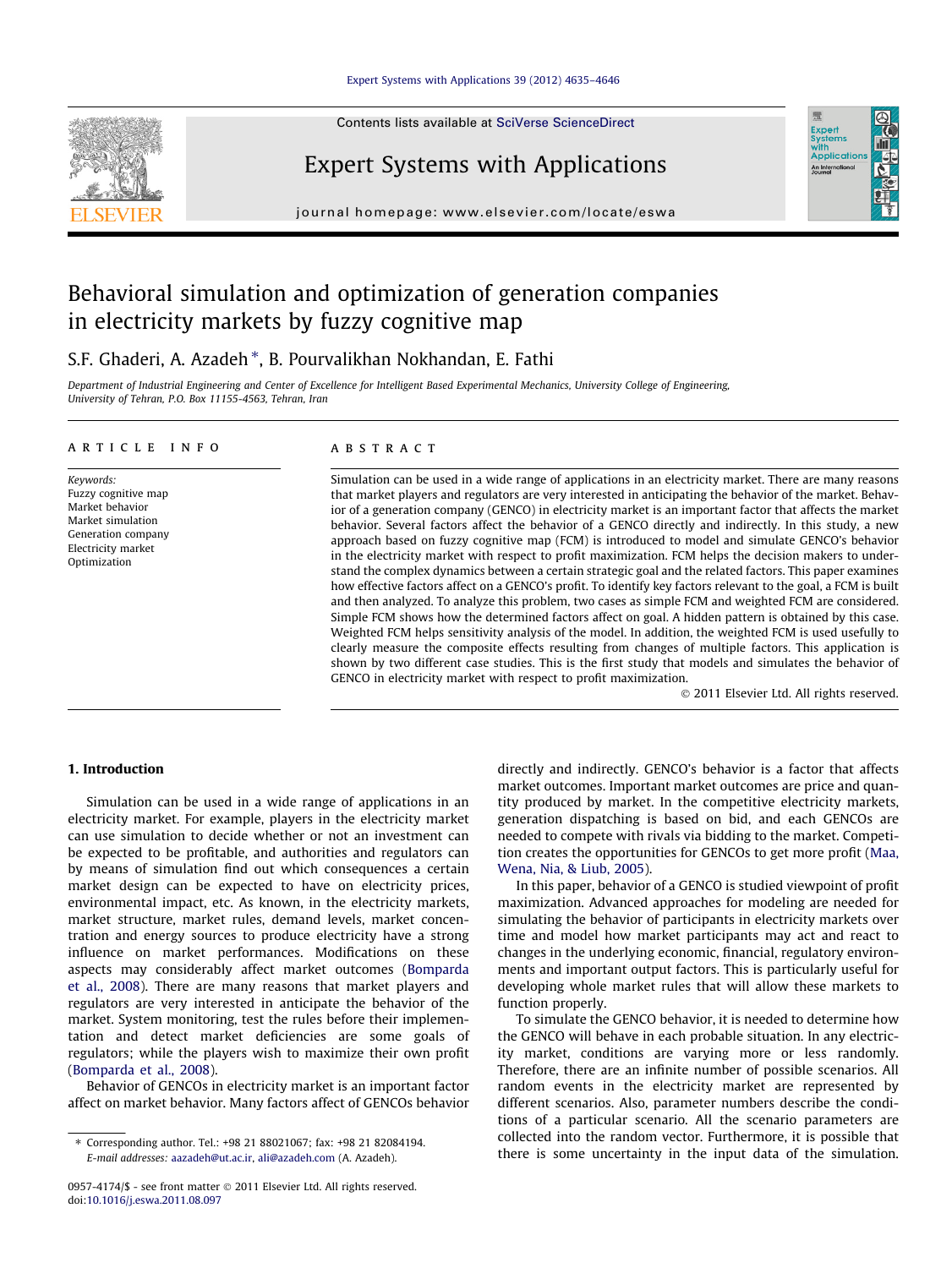### [Expert Systems with Applications 39 \(2012\) 4635–4646](http://dx.doi.org/10.1016/j.eswa.2011.08.097)

Contents lists available at [SciVerse ScienceDirect](http://www.sciencedirect.com/science/journal/09574174)



journal homepage: [www.elsevier.com/locate/eswa](http://www.elsevier.com/locate/eswa)

Expert Systems with Applications

# Behavioral simulation and optimization of generation companies in electricity markets by fuzzy cognitive map

## S.F. Ghaderi, A. Azadeh \*, B. Pourvalikhan Nokhandan, E. Fathi

Department of Industrial Engineering and Center of Excellence for Intelligent Based Experimental Mechanics, University College of Engineering, University of Tehran, P.O. Box 11155-4563, Tehran, Iran

### article info

Keywords: Fuzzy cognitive map Market behavior Market simulation Generation company Electricity market Optimization

### **ABSTRACT**

Simulation can be used in a wide range of applications in an electricity market. There are many reasons that market players and regulators are very interested in anticipating the behavior of the market. Behavior of a generation company (GENCO) in electricity market is an important factor that affects the market behavior. Several factors affect the behavior of a GENCO directly and indirectly. In this study, a new approach based on fuzzy cognitive map (FCM) is introduced to model and simulate GENCO's behavior in the electricity market with respect to profit maximization. FCM helps the decision makers to understand the complex dynamics between a certain strategic goal and the related factors. This paper examines how effective factors affect on a GENCO's profit. To identify key factors relevant to the goal, a FCM is built and then analyzed. To analyze this problem, two cases as simple FCM and weighted FCM are considered. Simple FCM shows how the determined factors affect on goal. A hidden pattern is obtained by this case. Weighted FCM helps sensitivity analysis of the model. In addition, the weighted FCM is used usefully to clearly measure the composite effects resulting from changes of multiple factors. This application is shown by two different case studies. This is the first study that models and simulates the behavior of GENCO in electricity market with respect to profit maximization.

- 2011 Elsevier Ltd. All rights reserved.

### 1. Introduction

Simulation can be used in a wide range of applications in an electricity market. For example, players in the electricity market can use simulation to decide whether or not an investment can be expected to be profitable, and authorities and regulators can by means of simulation find out which consequences a certain market design can be expected to have on electricity prices, environmental impact, etc. As known, in the electricity markets, market structure, market rules, demand levels, market concentration and energy sources to produce electricity have a strong influence on market performances. Modifications on these aspects may considerably affect market outcomes ([Bomparda](#page-10-0) [et al., 2008\)](#page-10-0). There are many reasons that market players and regulators are very interested in anticipate the behavior of the market. System monitoring, test the rules before their implementation and detect market deficiencies are some goals of regulators; while the players wish to maximize their own profit ([Bomparda et al., 2008](#page-10-0)).

Behavior of GENCOs in electricity market is an important factor affect on market behavior. Many factors affect of GENCOs behavior

directly and indirectly. GENCO's behavior is a factor that affects market outcomes. Important market outcomes are price and quantity produced by market. In the competitive electricity markets, generation dispatching is based on bid, and each GENCOs are needed to compete with rivals via bidding to the market. Competition creates the opportunities for GENCOs to get more profit ([Maa,](#page-11-0) [Wena, Nia, & Liub, 2005](#page-11-0)).

In this paper, behavior of a GENCO is studied viewpoint of profit maximization. Advanced approaches for modeling are needed for simulating the behavior of participants in electricity markets over time and model how market participants may act and react to changes in the underlying economic, financial, regulatory environments and important output factors. This is particularly useful for developing whole market rules that will allow these markets to function properly.

To simulate the GENCO behavior, it is needed to determine how the GENCO will behave in each probable situation. In any electricity market, conditions are varying more or less randomly. Therefore, there are an infinite number of possible scenarios. All random events in the electricity market are represented by different scenarios. Also, parameter numbers describe the conditions of a particular scenario. All the scenario parameters are collected into the random vector. Furthermore, it is possible that there is some uncertainty in the input data of the simulation.

<sup>⇑</sup> Corresponding author. Tel.: +98 21 88021067; fax: +98 21 82084194. E-mail addresses: [aazadeh@ut.ac.ir,](mailto:aazadeh@ut.ac.ir) [ali@azadeh.com](mailto:ali@azadeh.com) (A. Azadeh).

<sup>0957-4174/\$ -</sup> see front matter © 2011 Elsevier Ltd. All rights reserved. doi[:10.1016/j.eswa.2011.08.097](http://dx.doi.org/10.1016/j.eswa.2011.08.097)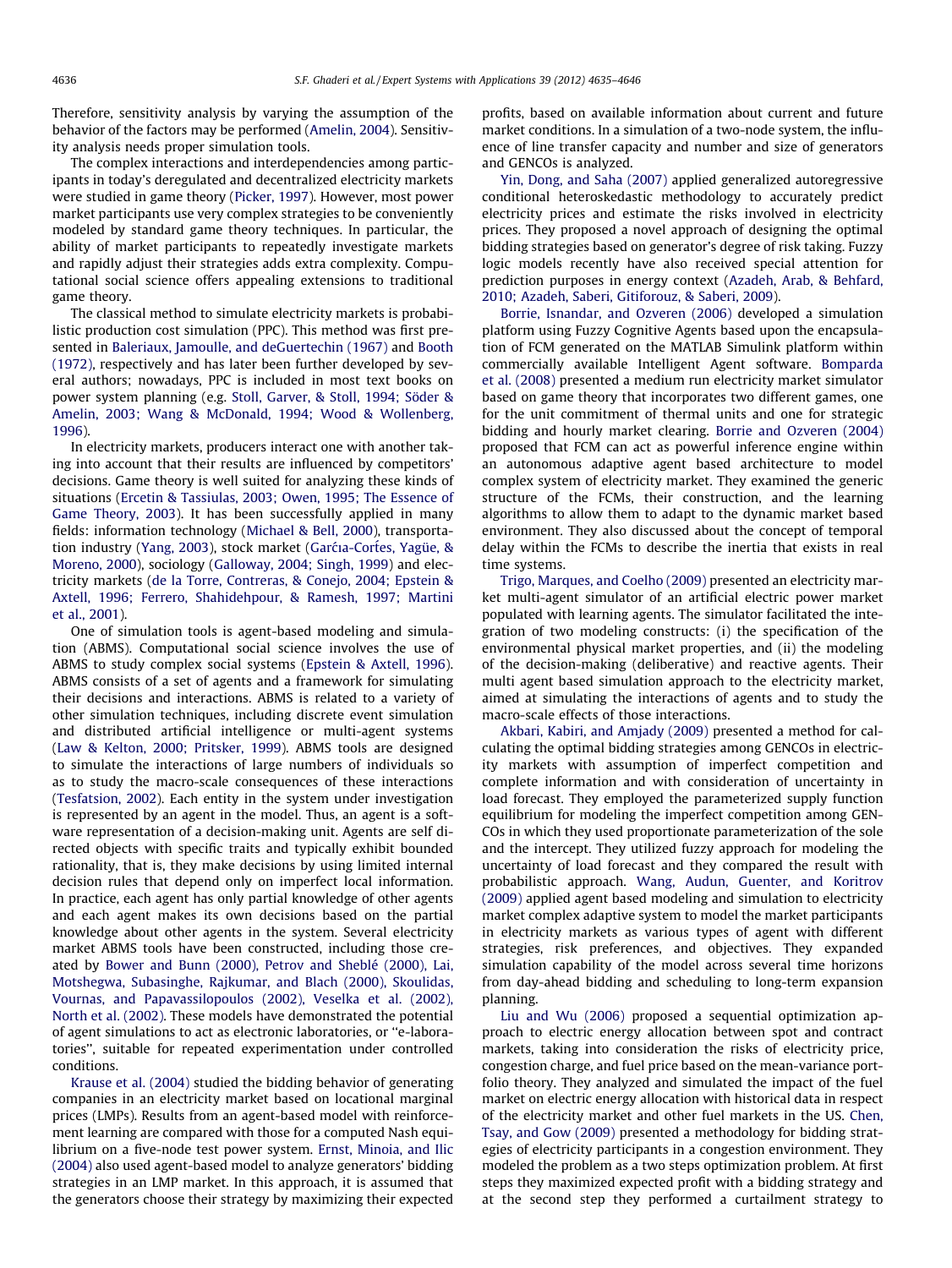Therefore, sensitivity analysis by varying the assumption of the behavior of the factors may be performed ([Amelin, 2004\)](#page-10-0). Sensitivity analysis needs proper simulation tools.

The complex interactions and interdependencies among participants in today's deregulated and decentralized electricity markets were studied in game theory ([Picker, 1997](#page-11-0)). However, most power market participants use very complex strategies to be conveniently modeled by standard game theory techniques. In particular, the ability of market participants to repeatedly investigate markets and rapidly adjust their strategies adds extra complexity. Computational social science offers appealing extensions to traditional game theory.

The classical method to simulate electricity markets is probabilistic production cost simulation (PPC). This method was first presented in [Baleriaux, Jamoulle, and deGuertechin \(1967\)](#page-10-0) and [Booth](#page-10-0) [\(1972\),](#page-10-0) respectively and has later been further developed by several authors; nowadays, PPC is included in most text books on power system planning (e.g. [Stoll, Garver, & Stoll, 1994; Söder &](#page-11-0) [Amelin, 2003; Wang & McDonald, 1994; Wood & Wollenberg,](#page-11-0) [1996\)](#page-11-0).

In electricity markets, producers interact one with another taking into account that their results are influenced by competitors' decisions. Game theory is well suited for analyzing these kinds of situations ([Ercetin & Tassiulas, 2003; Owen, 1995; The Essence of](#page-10-0) [Game Theory, 2003](#page-10-0)). It has been successfully applied in many fields: information technology [\(Michael & Bell, 2000](#page-11-0)), transporta-tion industry [\(Yang, 2003\)](#page-11-0), stock market (Garćia-Cortes, Yagüe, & [Moreno, 2000](#page-10-0)), sociology [\(Galloway, 2004; Singh, 1999](#page-10-0)) and electricity markets [\(de la Torre, Contreras, & Conejo, 2004; Epstein &](#page-10-0) [Axtell, 1996; Ferrero, Shahidehpour, & Ramesh, 1997; Martini](#page-10-0) [et al., 2001\)](#page-10-0).

One of simulation tools is agent-based modeling and simulation (ABMS). Computational social science involves the use of ABMS to study complex social systems ([Epstein & Axtell, 1996\)](#page-10-0). ABMS consists of a set of agents and a framework for simulating their decisions and interactions. ABMS is related to a variety of other simulation techniques, including discrete event simulation and distributed artificial intelligence or multi-agent systems ([Law & Kelton, 2000; Pritsker, 1999\)](#page-11-0). ABMS tools are designed to simulate the interactions of large numbers of individuals so as to study the macro-scale consequences of these interactions ([Tesfatsion, 2002](#page-11-0)). Each entity in the system under investigation is represented by an agent in the model. Thus, an agent is a software representation of a decision-making unit. Agents are self directed objects with specific traits and typically exhibit bounded rationality, that is, they make decisions by using limited internal decision rules that depend only on imperfect local information. In practice, each agent has only partial knowledge of other agents and each agent makes its own decisions based on the partial knowledge about other agents in the system. Several electricity market ABMS tools have been constructed, including those created by [Bower and Bunn \(2000\), Petrov and Sheblé \(2000\), Lai,](#page-10-0) [Motshegwa, Subasinghe, Rajkumar, and Blach \(2000\), Skoulidas,](#page-10-0) [Vournas, and Papavassilopoulos \(2002\), Veselka et al. \(2002\),](#page-10-0) [North et al. \(2002\)](#page-10-0). These models have demonstrated the potential of agent simulations to act as electronic laboratories, or ''e-laboratories'', suitable for repeated experimentation under controlled conditions.

[Krause et al. \(2004\)](#page-11-0) studied the bidding behavior of generating companies in an electricity market based on locational marginal prices (LMPs). Results from an agent-based model with reinforcement learning are compared with those for a computed Nash equilibrium on a five-node test power system. [Ernst, Minoia, and Ilic](#page-10-0) [\(2004\)](#page-10-0) also used agent-based model to analyze generators' bidding strategies in an LMP market. In this approach, it is assumed that the generators choose their strategy by maximizing their expected profits, based on available information about current and future market conditions. In a simulation of a two-node system, the influence of line transfer capacity and number and size of generators and GENCOs is analyzed.

[Yin, Dong, and Saha \(2007\)](#page-11-0) applied generalized autoregressive conditional heteroskedastic methodology to accurately predict electricity prices and estimate the risks involved in electricity prices. They proposed a novel approach of designing the optimal bidding strategies based on generator's degree of risk taking. Fuzzy logic models recently have also received special attention for prediction purposes in energy context [\(Azadeh, Arab, & Behfard,](#page-10-0) [2010; Azadeh, Saberi, Gitiforouz, & Saberi, 2009\)](#page-10-0).

[Borrie, Isnandar, and Ozveren \(2006\)](#page-10-0) developed a simulation platform using Fuzzy Cognitive Agents based upon the encapsulation of FCM generated on the MATLAB Simulink platform within commercially available Intelligent Agent software. [Bomparda](#page-10-0) [et al. \(2008\)](#page-10-0) presented a medium run electricity market simulator based on game theory that incorporates two different games, one for the unit commitment of thermal units and one for strategic bidding and hourly market clearing. [Borrie and Ozveren \(2004\)](#page-10-0) proposed that FCM can act as powerful inference engine within an autonomous adaptive agent based architecture to model complex system of electricity market. They examined the generic structure of the FCMs, their construction, and the learning algorithms to allow them to adapt to the dynamic market based environment. They also discussed about the concept of temporal delay within the FCMs to describe the inertia that exists in real time systems.

[Trigo, Marques, and Coelho \(2009\)](#page-11-0) presented an electricity market multi-agent simulator of an artificial electric power market populated with learning agents. The simulator facilitated the integration of two modeling constructs: (i) the specification of the environmental physical market properties, and (ii) the modeling of the decision-making (deliberative) and reactive agents. Their multi agent based simulation approach to the electricity market, aimed at simulating the interactions of agents and to study the macro-scale effects of those interactions.

[Akbari, Kabiri, and Amjady \(2009\)](#page-10-0) presented a method for calculating the optimal bidding strategies among GENCOs in electricity markets with assumption of imperfect competition and complete information and with consideration of uncertainty in load forecast. They employed the parameterized supply function equilibrium for modeling the imperfect competition among GEN-COs in which they used proportionate parameterization of the sole and the intercept. They utilized fuzzy approach for modeling the uncertainty of load forecast and they compared the result with probabilistic approach. [Wang, Audun, Guenter, and Koritrov](#page-11-0) [\(2009\)](#page-11-0) applied agent based modeling and simulation to electricity market complex adaptive system to model the market participants in electricity markets as various types of agent with different strategies, risk preferences, and objectives. They expanded simulation capability of the model across several time horizons from day-ahead bidding and scheduling to long-term expansion planning.

[Liu and Wu \(2006\)](#page-11-0) proposed a sequential optimization approach to electric energy allocation between spot and contract markets, taking into consideration the risks of electricity price, congestion charge, and fuel price based on the mean-variance portfolio theory. They analyzed and simulated the impact of the fuel market on electric energy allocation with historical data in respect of the electricity market and other fuel markets in the US. [Chen,](#page-10-0) [Tsay, and Gow \(2009\)](#page-10-0) presented a methodology for bidding strategies of electricity participants in a congestion environment. They modeled the problem as a two steps optimization problem. At first steps they maximized expected profit with a bidding strategy and at the second step they performed a curtailment strategy to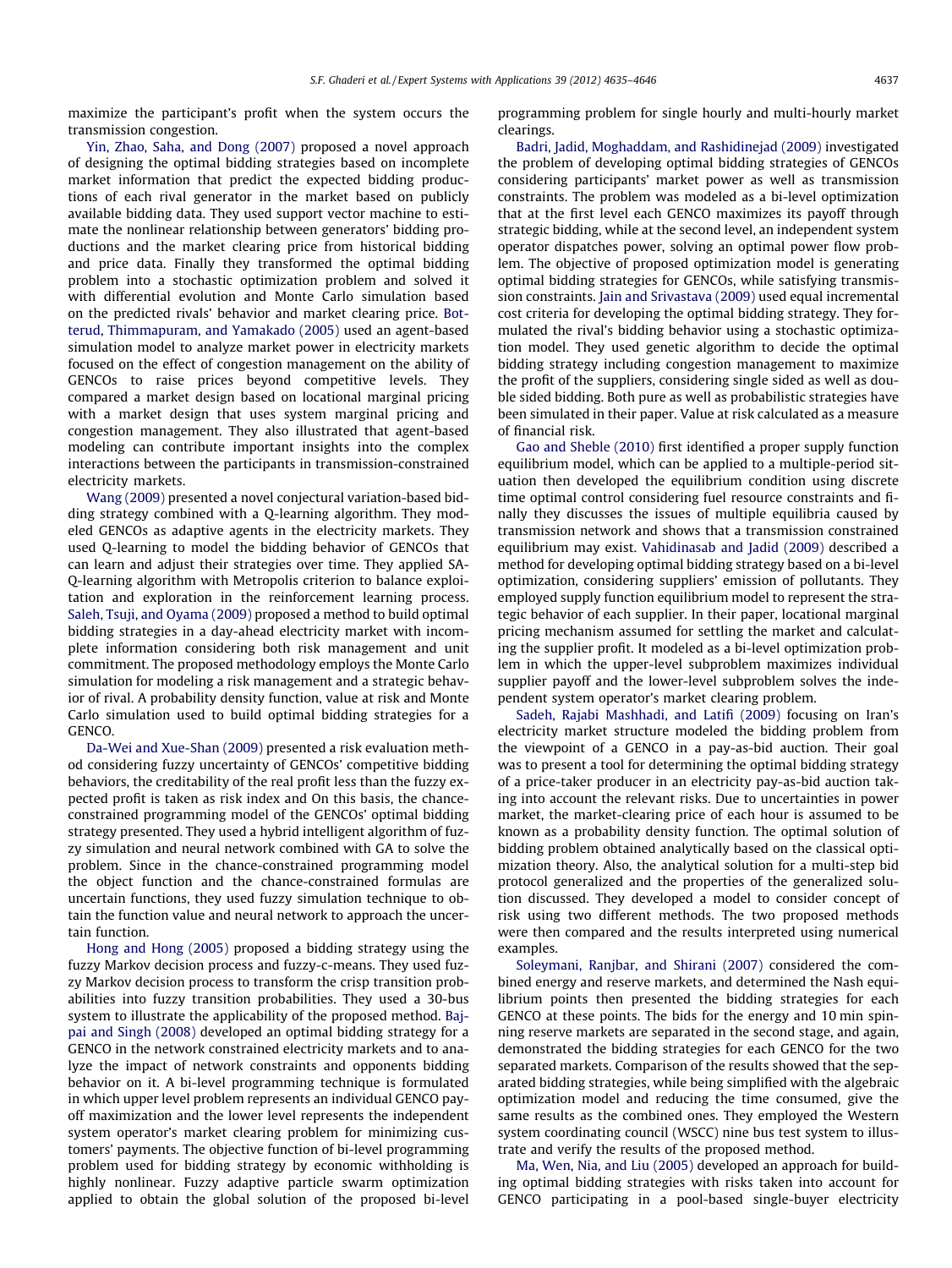maximize the participant's profit when the system occurs the transmission congestion.

[Yin, Zhao, Saha, and Dong \(2007\)](#page-11-0) proposed a novel approach of designing the optimal bidding strategies based on incomplete market information that predict the expected bidding productions of each rival generator in the market based on publicly available bidding data. They used support vector machine to estimate the nonlinear relationship between generators' bidding productions and the market clearing price from historical bidding and price data. Finally they transformed the optimal bidding problem into a stochastic optimization problem and solved it with differential evolution and Monte Carlo simulation based on the predicted rivals' behavior and market clearing price. [Bot](#page-10-0)[terud, Thimmapuram, and Yamakado \(2005\)](#page-10-0) used an agent-based simulation model to analyze market power in electricity markets focused on the effect of congestion management on the ability of GENCOs to raise prices beyond competitive levels. They compared a market design based on locational marginal pricing with a market design that uses system marginal pricing and congestion management. They also illustrated that agent-based modeling can contribute important insights into the complex interactions between the participants in transmission-constrained electricity markets.

[Wang \(2009\)](#page-11-0) presented a novel conjectural variation-based bidding strategy combined with a Q-learning algorithm. They modeled GENCOs as adaptive agents in the electricity markets. They used Q-learning to model the bidding behavior of GENCOs that can learn and adjust their strategies over time. They applied SA-Q-learning algorithm with Metropolis criterion to balance exploitation and exploration in the reinforcement learning process. [Saleh, Tsuji, and Oyama \(2009\)](#page-11-0) proposed a method to build optimal bidding strategies in a day-ahead electricity market with incomplete information considering both risk management and unit commitment. The proposed methodology employs the Monte Carlo simulation for modeling a risk management and a strategic behavior of rival. A probability density function, value at risk and Monte Carlo simulation used to build optimal bidding strategies for a GENCO.

[Da-Wei and Xue-Shan \(2009\)](#page-10-0) presented a risk evaluation method considering fuzzy uncertainty of GENCOs' competitive bidding behaviors, the creditability of the real profit less than the fuzzy expected profit is taken as risk index and On this basis, the chanceconstrained programming model of the GENCOs' optimal bidding strategy presented. They used a hybrid intelligent algorithm of fuzzy simulation and neural network combined with GA to solve the problem. Since in the chance-constrained programming model the object function and the chance-constrained formulas are uncertain functions, they used fuzzy simulation technique to obtain the function value and neural network to approach the uncertain function.

[Hong and Hong \(2005\)](#page-10-0) proposed a bidding strategy using the fuzzy Markov decision process and fuzzy-c-means. They used fuzzy Markov decision process to transform the crisp transition probabilities into fuzzy transition probabilities. They used a 30-bus system to illustrate the applicability of the proposed method. [Baj](#page-10-0)[pai and Singh \(2008\)](#page-10-0) developed an optimal bidding strategy for a GENCO in the network constrained electricity markets and to analyze the impact of network constraints and opponents bidding behavior on it. A bi-level programming technique is formulated in which upper level problem represents an individual GENCO payoff maximization and the lower level represents the independent system operator's market clearing problem for minimizing customers' payments. The objective function of bi-level programming problem used for bidding strategy by economic withholding is highly nonlinear. Fuzzy adaptive particle swarm optimization applied to obtain the global solution of the proposed bi-level programming problem for single hourly and multi-hourly market clearings.

[Badri, Jadid, Moghaddam, and Rashidinejad \(2009\)](#page-10-0) investigated the problem of developing optimal bidding strategies of GENCOs considering participants' market power as well as transmission constraints. The problem was modeled as a bi-level optimization that at the first level each GENCO maximizes its payoff through strategic bidding, while at the second level, an independent system operator dispatches power, solving an optimal power flow problem. The objective of proposed optimization model is generating optimal bidding strategies for GENCOs, while satisfying transmission constraints. [Jain and Srivastava \(2009\)](#page-10-0) used equal incremental cost criteria for developing the optimal bidding strategy. They formulated the rival's bidding behavior using a stochastic optimization model. They used genetic algorithm to decide the optimal bidding strategy including congestion management to maximize the profit of the suppliers, considering single sided as well as double sided bidding. Both pure as well as probabilistic strategies have been simulated in their paper. Value at risk calculated as a measure of financial risk.

[Gao and Sheble \(2010\)](#page-10-0) first identified a proper supply function equilibrium model, which can be applied to a multiple-period situation then developed the equilibrium condition using discrete time optimal control considering fuel resource constraints and finally they discusses the issues of multiple equilibria caused by transmission network and shows that a transmission constrained equilibrium may exist. [Vahidinasab and Jadid \(2009\)](#page-11-0) described a method for developing optimal bidding strategy based on a bi-level optimization, considering suppliers' emission of pollutants. They employed supply function equilibrium model to represent the strategic behavior of each supplier. In their paper, locational marginal pricing mechanism assumed for settling the market and calculating the supplier profit. It modeled as a bi-level optimization problem in which the upper-level subproblem maximizes individual supplier payoff and the lower-level subproblem solves the independent system operator's market clearing problem.

[Sadeh, Rajabi Mashhadi, and Latifi \(2009\)](#page-11-0) focusing on Iran's electricity market structure modeled the bidding problem from the viewpoint of a GENCO in a pay-as-bid auction. Their goal was to present a tool for determining the optimal bidding strategy of a price-taker producer in an electricity pay-as-bid auction taking into account the relevant risks. Due to uncertainties in power market, the market-clearing price of each hour is assumed to be known as a probability density function. The optimal solution of bidding problem obtained analytically based on the classical optimization theory. Also, the analytical solution for a multi-step bid protocol generalized and the properties of the generalized solution discussed. They developed a model to consider concept of risk using two different methods. The two proposed methods were then compared and the results interpreted using numerical examples.

[Soleymani, Ranjbar, and Shirani \(2007\)](#page-11-0) considered the combined energy and reserve markets, and determined the Nash equilibrium points then presented the bidding strategies for each GENCO at these points. The bids for the energy and 10 min spinning reserve markets are separated in the second stage, and again, demonstrated the bidding strategies for each GENCO for the two separated markets. Comparison of the results showed that the separated bidding strategies, while being simplified with the algebraic optimization model and reducing the time consumed, give the same results as the combined ones. They employed the Western system coordinating council (WSCC) nine bus test system to illustrate and verify the results of the proposed method.

[Ma, Wen, Nia, and Liu \(2005\)](#page-11-0) developed an approach for building optimal bidding strategies with risks taken into account for GENCO participating in a pool-based single-buyer electricity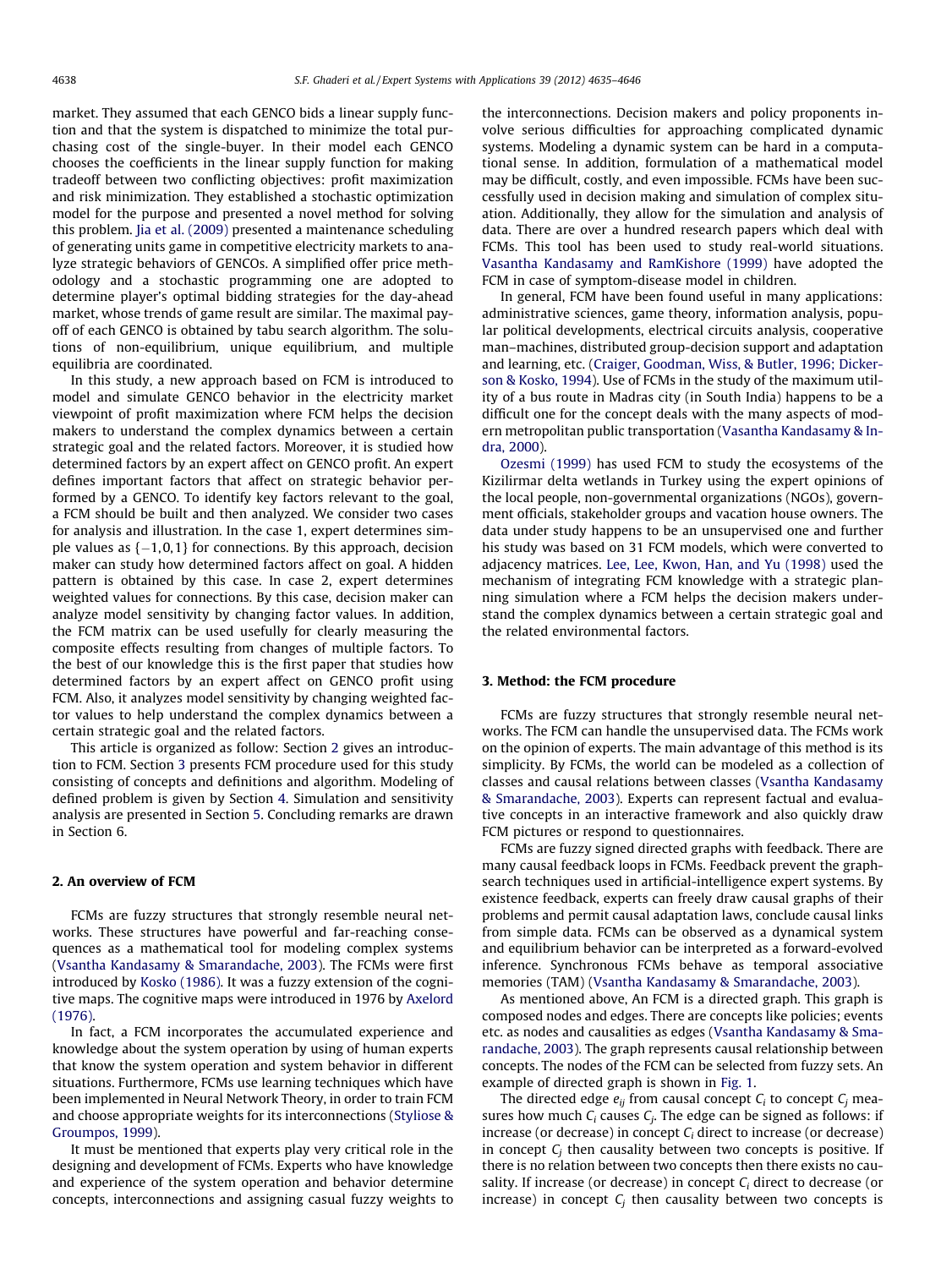market. They assumed that each GENCO bids a linear supply function and that the system is dispatched to minimize the total purchasing cost of the single-buyer. In their model each GENCO chooses the coefficients in the linear supply function for making tradeoff between two conflicting objectives: profit maximization and risk minimization. They established a stochastic optimization model for the purpose and presented a novel method for solving this problem. [Jia et al. \(2009\)](#page-10-0) presented a maintenance scheduling of generating units game in competitive electricity markets to analyze strategic behaviors of GENCOs. A simplified offer price methodology and a stochastic programming one are adopted to determine player's optimal bidding strategies for the day-ahead market, whose trends of game result are similar. The maximal payoff of each GENCO is obtained by tabu search algorithm. The solutions of non-equilibrium, unique equilibrium, and multiple equilibria are coordinated.

In this study, a new approach based on FCM is introduced to model and simulate GENCO behavior in the electricity market viewpoint of profit maximization where FCM helps the decision makers to understand the complex dynamics between a certain strategic goal and the related factors. Moreover, it is studied how determined factors by an expert affect on GENCO profit. An expert defines important factors that affect on strategic behavior performed by a GENCO. To identify key factors relevant to the goal, a FCM should be built and then analyzed. We consider two cases for analysis and illustration. In the case 1, expert determines simple values as {-1, 0,1} for connections. By this approach, decision maker can study how determined factors affect on goal. A hidden pattern is obtained by this case. In case 2, expert determines weighted values for connections. By this case, decision maker can analyze model sensitivity by changing factor values. In addition, the FCM matrix can be used usefully for clearly measuring the composite effects resulting from changes of multiple factors. To the best of our knowledge this is the first paper that studies how determined factors by an expert affect on GENCO profit using FCM. Also, it analyzes model sensitivity by changing weighted factor values to help understand the complex dynamics between a certain strategic goal and the related factors.

This article is organized as follow: Section 2 gives an introduction to FCM. Section 3 presents FCM procedure used for this study consisting of concepts and definitions and algorithm. Modeling of defined problem is given by Section [4.](#page-5-0) Simulation and sensitivity analysis are presented in Section [5](#page-9-0). Concluding remarks are drawn in Section 6.

### 2. An overview of FCM

FCMs are fuzzy structures that strongly resemble neural networks. These structures have powerful and far-reaching consequences as a mathematical tool for modeling complex systems ([Vsantha Kandasamy & Smarandache, 2003\)](#page-11-0). The FCMs were first introduced by [Kosko \(1986\).](#page-11-0) It was a fuzzy extension of the cognitive maps. The cognitive maps were introduced in 1976 by [Axelord](#page-10-0) [\(1976\).](#page-10-0)

In fact, a FCM incorporates the accumulated experience and knowledge about the system operation by using of human experts that know the system operation and system behavior in different situations. Furthermore, FCMs use learning techniques which have been implemented in Neural Network Theory, in order to train FCM and choose appropriate weights for its interconnections ([Styliose &](#page-11-0) [Groumpos, 1999\)](#page-11-0).

It must be mentioned that experts play very critical role in the designing and development of FCMs. Experts who have knowledge and experience of the system operation and behavior determine concepts, interconnections and assigning casual fuzzy weights to the interconnections. Decision makers and policy proponents involve serious difficulties for approaching complicated dynamic systems. Modeling a dynamic system can be hard in a computational sense. In addition, formulation of a mathematical model may be difficult, costly, and even impossible. FCMs have been successfully used in decision making and simulation of complex situation. Additionally, they allow for the simulation and analysis of data. There are over a hundred research papers which deal with FCMs. This tool has been used to study real-world situations. [Vasantha Kandasamy and RamKishore \(1999\)](#page-11-0) have adopted the FCM in case of symptom-disease model in children.

In general, FCM have been found useful in many applications: administrative sciences, game theory, information analysis, popular political developments, electrical circuits analysis, cooperative man–machines, distributed group-decision support and adaptation and learning, etc. ([Craiger, Goodman, Wiss, & Butler, 1996; Dicker](#page-10-0)[son & Kosko, 1994](#page-10-0)). Use of FCMs in the study of the maximum utility of a bus route in Madras city (in South India) happens to be a difficult one for the concept deals with the many aspects of modern metropolitan public transportation [\(Vasantha Kandasamy & In](#page-11-0)[dra, 2000](#page-11-0)).

[Ozesmi \(1999\)](#page-11-0) has used FCM to study the ecosystems of the Kizilirmar delta wetlands in Turkey using the expert opinions of the local people, non-governmental organizations (NGOs), government officials, stakeholder groups and vacation house owners. The data under study happens to be an unsupervised one and further his study was based on 31 FCM models, which were converted to adjacency matrices. [Lee, Lee, Kwon, Han, and Yu \(1998\)](#page-11-0) used the mechanism of integrating FCM knowledge with a strategic planning simulation where a FCM helps the decision makers understand the complex dynamics between a certain strategic goal and the related environmental factors.

### 3. Method: the FCM procedure

FCMs are fuzzy structures that strongly resemble neural networks. The FCM can handle the unsupervised data. The FCMs work on the opinion of experts. The main advantage of this method is its simplicity. By FCMs, the world can be modeled as a collection of classes and causal relations between classes ([Vsantha Kandasamy](#page-11-0) [& Smarandache, 2003\)](#page-11-0). Experts can represent factual and evaluative concepts in an interactive framework and also quickly draw FCM pictures or respond to questionnaires.

FCMs are fuzzy signed directed graphs with feedback. There are many causal feedback loops in FCMs. Feedback prevent the graphsearch techniques used in artificial-intelligence expert systems. By existence feedback, experts can freely draw causal graphs of their problems and permit causal adaptation laws, conclude causal links from simple data. FCMs can be observed as a dynamical system and equilibrium behavior can be interpreted as a forward-evolved inference. Synchronous FCMs behave as temporal associative memories (TAM) [\(Vsantha Kandasamy & Smarandache, 2003](#page-11-0)).

As mentioned above, An FCM is a directed graph. This graph is composed nodes and edges. There are concepts like policies; events etc. as nodes and causalities as edges ([Vsantha Kandasamy & Sma](#page-11-0)[randache, 2003](#page-11-0)). The graph represents causal relationship between concepts. The nodes of the FCM can be selected from fuzzy sets. An example of directed graph is shown in [Fig. 1.](#page-4-0)

The directed edge  $e_{ij}$  from causal concept  $C_i$  to concept  $C_j$  measures how much  $C_i$  causes  $C_i$ . The edge can be signed as follows: if increase (or decrease) in concept  $C_i$  direct to increase (or decrease) in concept  $C_i$  then causality between two concepts is positive. If there is no relation between two concepts then there exists no causality. If increase (or decrease) in concept  $C_i$  direct to decrease (or increase) in concept  $C_i$  then causality between two concepts is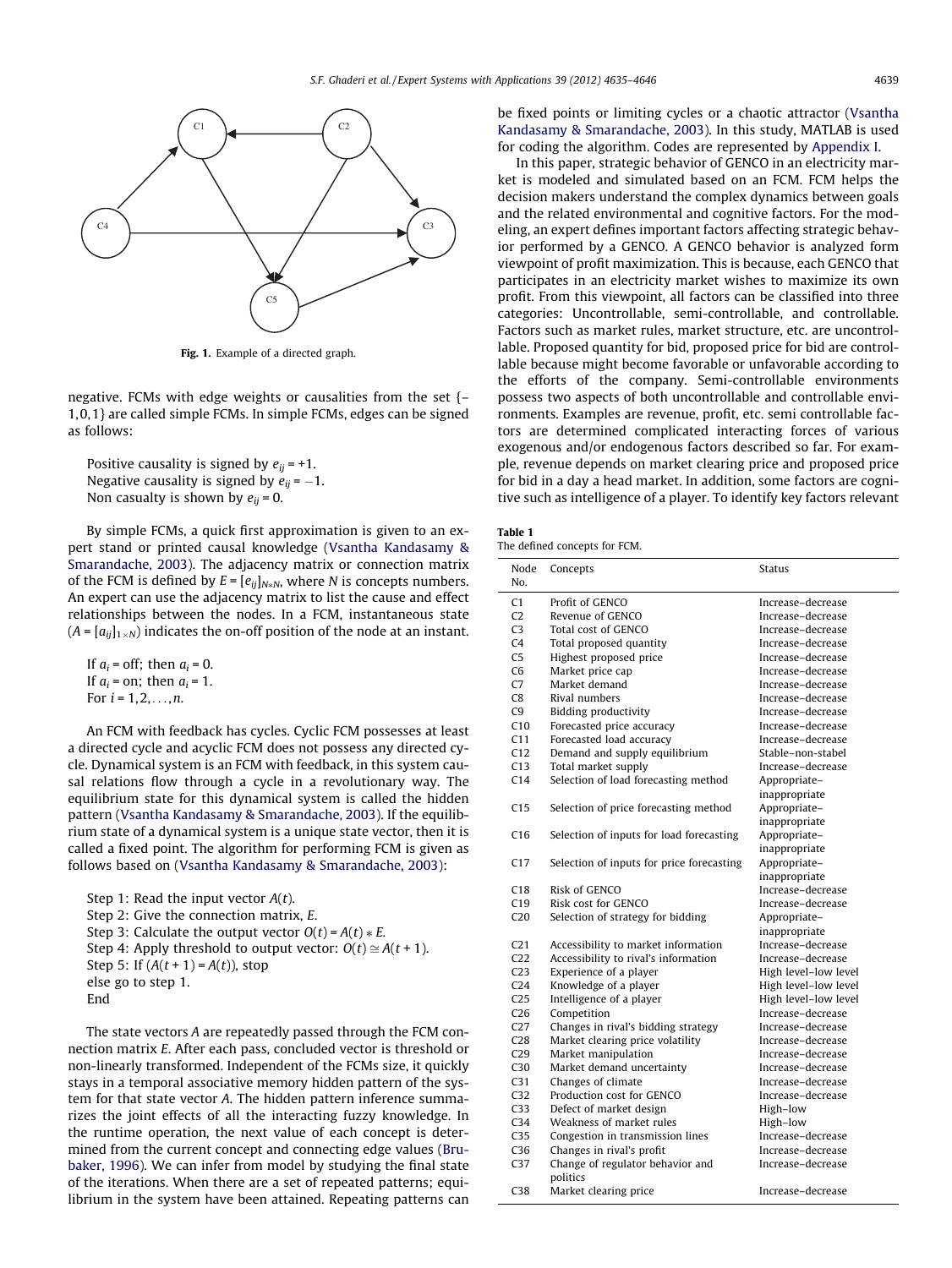<span id="page-4-0"></span>

Fig. 1. Example of a directed graph.

negative. FCMs with edge weights or causalities from the set {– 1, 0,1} are called simple FCMs. In simple FCMs, edges can be signed as follows:

Positive causality is signed by  $e_{ii} = +1$ . Negative causality is signed by  $e_{ij}$  =  $-1.$ Non casualty is shown by  $e_{ii} = 0$ .

By simple FCMs, a quick first approximation is given to an expert stand or printed causal knowledge ([Vsantha Kandasamy &](#page-11-0) [Smarandache, 2003](#page-11-0)). The adjacency matrix or connection matrix of the FCM is defined by  $E = [e_{ij}]_{N \neq N}$ , where N is concepts numbers. An expert can use the adjacency matrix to list the cause and effect relationships between the nodes. In a FCM, instantaneous state  $(A = [a_{ii}]_{1 \times N})$  indicates the on-off position of the node at an instant.

If  $a_i$  = off; then  $a_i$  = 0. If  $a_i$  = on; then  $a_i$  = 1. For  $i = 1, 2, ..., n$ .

An FCM with feedback has cycles. Cyclic FCM possesses at least a directed cycle and acyclic FCM does not possess any directed cycle. Dynamical system is an FCM with feedback, in this system causal relations flow through a cycle in a revolutionary way. The equilibrium state for this dynamical system is called the hidden pattern [\(Vsantha Kandasamy & Smarandache, 2003](#page-11-0)). If the equilibrium state of a dynamical system is a unique state vector, then it is called a fixed point. The algorithm for performing FCM is given as follows based on [\(Vsantha Kandasamy & Smarandache, 2003](#page-11-0)):

Step 1: Read the input vector  $A(t)$ . Step 2: Give the connection matrix, E. Step 3: Calculate the output vector  $O(t) = A(t) * E$ . Step 4: Apply threshold to output vector:  $O(t) \cong A(t + 1)$ . Step 5: If  $(A(t + 1) = A(t))$ , stop else go to step 1. End

The state vectors A are repeatedly passed through the FCM connection matrix E. After each pass, concluded vector is threshold or non-linearly transformed. Independent of the FCMs size, it quickly stays in a temporal associative memory hidden pattern of the system for that state vector A. The hidden pattern inference summarizes the joint effects of all the interacting fuzzy knowledge. In the runtime operation, the next value of each concept is determined from the current concept and connecting edge values [\(Bru](#page-10-0)[baker, 1996](#page-10-0)). We can infer from model by studying the final state of the iterations. When there are a set of repeated patterns; equilibrium in the system have been attained. Repeating patterns can be fixed points or limiting cycles or a chaotic attractor [\(Vsantha](#page-11-0) [Kandasamy & Smarandache, 2003\)](#page-11-0). In this study, MATLAB is used for coding the algorithm. Codes are represented by [Appendix I.](#page-10-0)

In this paper, strategic behavior of GENCO in an electricity market is modeled and simulated based on an FCM. FCM helps the decision makers understand the complex dynamics between goals and the related environmental and cognitive factors. For the modeling, an expert defines important factors affecting strategic behavior performed by a GENCO. A GENCO behavior is analyzed form viewpoint of profit maximization. This is because, each GENCO that participates in an electricity market wishes to maximize its own profit. From this viewpoint, all factors can be classified into three categories: Uncontrollable, semi-controllable, and controllable. Factors such as market rules, market structure, etc. are uncontrollable. Proposed quantity for bid, proposed price for bid are controllable because might become favorable or unfavorable according to the efforts of the company. Semi-controllable environments possess two aspects of both uncontrollable and controllable environments. Examples are revenue, profit, etc. semi controllable factors are determined complicated interacting forces of various exogenous and/or endogenous factors described so far. For example, revenue depends on market clearing price and proposed price for bid in a day a head market. In addition, some factors are cognitive such as intelligence of a player. To identify key factors relevant

| ı<br>$\sim$<br>u<br>×<br>o m<br>٧ |  |
|-----------------------------------|--|
|-----------------------------------|--|

| The defined concepts for FCM. |  |  |  |  |
|-------------------------------|--|--|--|--|
|-------------------------------|--|--|--|--|

| Node            | Concepts                                     | <b>Status</b>        |
|-----------------|----------------------------------------------|----------------------|
| No.             |                                              |                      |
| C1              | Profit of GENCO                              | Increase-decrease    |
| C <sub>2</sub>  | Revenue of GENCO                             | Increase-decrease    |
| C <sub>3</sub>  | Total cost of GENCO                          | Increase-decrease    |
| C <sub>4</sub>  | Total proposed quantity                      | Increase-decrease    |
| C <sub>5</sub>  | Highest proposed price                       | Increase-decrease    |
| C <sub>6</sub>  | Market price cap                             | Increase-decrease    |
| C <sub>7</sub>  | Market demand                                | Increase-decrease    |
| C <sub>8</sub>  | Rival numbers                                | Increase-decrease    |
| C <sub>9</sub>  | <b>Bidding productivity</b>                  | Increase-decrease    |
| C10             | Forecasted price accuracy                    | Increase-decrease    |
| C11             | Forecasted load accuracy                     | Increase-decrease    |
| C12             | Demand and supply equilibrium                | Stable-non-stabel    |
| C13             | Total market supply                          | Increase-decrease    |
| C <sub>14</sub> | Selection of load forecasting method         | Appropriate-         |
|                 |                                              | inappropriate        |
| C <sub>15</sub> | Selection of price forecasting method        | Appropriate-         |
|                 |                                              | inappropriate        |
| C16             | Selection of inputs for load forecasting     | Appropriate-         |
|                 |                                              | inappropriate        |
| C17             | Selection of inputs for price forecasting    | Appropriate-         |
|                 |                                              | inappropriate        |
| C18             | Risk of GENCO                                | Increase-decrease    |
| C19             | Risk cost for GENCO                          | Increase-decrease    |
| C20             | Selection of strategy for bidding            | Appropriate-         |
|                 |                                              | inappropriate        |
| C <sub>21</sub> | Accessibility to market information          | Increase-decrease    |
| C <sub>22</sub> | Accessibility to rival's information         | Increase-decrease    |
| C <sub>23</sub> | Experience of a player                       | High level-low level |
| C <sub>24</sub> | Knowledge of a player                        | High level-low level |
| C <sub>25</sub> | Intelligence of a player                     | High level-low level |
| C <sub>26</sub> | Competition                                  | Increase-decrease    |
| C <sub>27</sub> | Changes in rival's bidding strategy          | Increase-decrease    |
| C <sub>28</sub> | Market clearing price volatility             | Increase-decrease    |
| C <sub>29</sub> | Market manipulation                          | Increase-decrease    |
| C30             | Market demand uncertainty                    | Increase-decrease    |
| C <sub>31</sub> | Changes of climate                           | Increase-decrease    |
| C <sub>32</sub> | Production cost for GENCO                    | Increase-decrease    |
| C <sub>33</sub> | Defect of market design                      | High-low             |
| C <sub>34</sub> | Weakness of market rules                     | High-low             |
| C <sub>35</sub> | Congestion in transmission lines             | Increase-decrease    |
| C36             | Changes in rival's profit                    | Increase-decrease    |
| C <sub>37</sub> | Change of regulator behavior and<br>politics | Increase-decrease    |
| C <sub>38</sub> | Market clearing price                        | Increase-decrease    |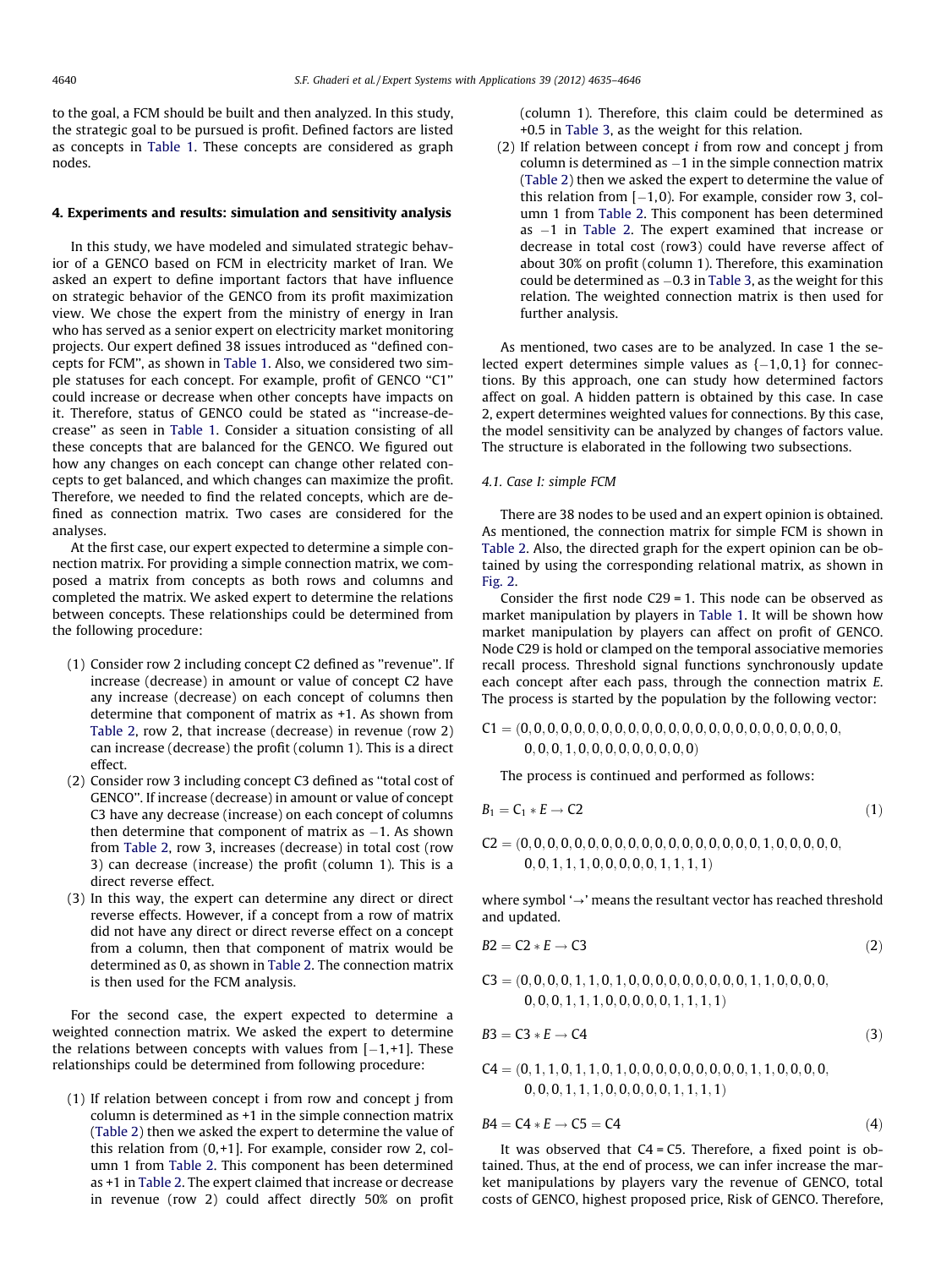<span id="page-5-0"></span>to the goal, a FCM should be built and then analyzed. In this study, the strategic goal to be pursued is profit. Defined factors are listed as concepts in Table 1. These concepts are considered as graph nodes.

### 4. Experiments and results: simulation and sensitivity analysis

In this study, we have modeled and simulated strategic behavior of a GENCO based on FCM in electricity market of Iran. We asked an expert to define important factors that have influence on strategic behavior of the GENCO from its profit maximization view. We chose the expert from the ministry of energy in Iran who has served as a senior expert on electricity market monitoring projects. Our expert defined 38 issues introduced as ''defined concepts for FCM'', as shown in Table 1. Also, we considered two simple statuses for each concept. For example, profit of GENCO ''C1'' could increase or decrease when other concepts have impacts on it. Therefore, status of GENCO could be stated as ''increase-decrease'' as seen in Table 1. Consider a situation consisting of all these concepts that are balanced for the GENCO. We figured out how any changes on each concept can change other related concepts to get balanced, and which changes can maximize the profit. Therefore, we needed to find the related concepts, which are defined as connection matrix. Two cases are considered for the analyses.

At the first case, our expert expected to determine a simple connection matrix. For providing a simple connection matrix, we composed a matrix from concepts as both rows and columns and completed the matrix. We asked expert to determine the relations between concepts. These relationships could be determined from the following procedure:

- (1) Consider row 2 including concept C2 defined as ''revenue''. If increase (decrease) in amount or value of concept C2 have any increase (decrease) on each concept of columns then determine that component of matrix as +1. As shown from Table 2, row 2, that increase (decrease) in revenue (row 2) can increase (decrease) the profit (column 1). This is a direct effect.
- (2) Consider row 3 including concept C3 defined as ''total cost of GENCO''. If increase (decrease) in amount or value of concept C3 have any decrease (increase) on each concept of columns then determine that component of matrix as  $-1$ . As shown from Table 2, row 3, increases (decrease) in total cost (row 3) can decrease (increase) the profit (column 1). This is a direct reverse effect.
- (3) In this way, the expert can determine any direct or direct reverse effects. However, if a concept from a row of matrix did not have any direct or direct reverse effect on a concept from a column, then that component of matrix would be determined as 0, as shown in Table 2. The connection matrix is then used for the FCM analysis.

For the second case, the expert expected to determine a weighted connection matrix. We asked the expert to determine the relations between concepts with values from  $[-1, +1]$ . These relationships could be determined from following procedure:

(1) If relation between concept i from row and concept j from column is determined as +1 in the simple connection matrix (Table 2) then we asked the expert to determine the value of this relation from  $(0, +1]$ . For example, consider row 2, column 1 from Table 2. This component has been determined as +1 in Table 2. The expert claimed that increase or decrease in revenue (row 2) could affect directly 50% on profit (column 1). Therefore, this claim could be determined as +0.5 in Table 3, as the weight for this relation.

(2) If relation between concept i from row and concept j from  $\epsilon$ olumn is determined as  $-1$  in the simple connection matrix (Table 2) then we asked the expert to determine the value of this relation from  $[-1,0)$ . For example, consider row 3, column 1 from Table 2. This component has been determined as -1 in Table 2. The expert examined that increase or decrease in total cost (row3) could have reverse affect of about 30% on profit (column 1). Therefore, this examination could be determined as  $-0.3$  in Table 3, as the weight for this relation. The weighted connection matrix is then used for further analysis.

As mentioned, two cases are to be analyzed. In case 1 the selected expert determines simple values as  $\{-1,0,1\}$  for connections. By this approach, one can study how determined factors affect on goal. A hidden pattern is obtained by this case. In case 2, expert determines weighted values for connections. By this case, the model sensitivity can be analyzed by changes of factors value. The structure is elaborated in the following two subsections.

### 4.1. Case I: simple FCM

There are 38 nodes to be used and an expert opinion is obtained. As mentioned, the connection matrix for simple FCM is shown in Table 2. Also, the directed graph for the expert opinion can be obtained by using the corresponding relational matrix, as shown in [Fig. 2](#page-8-0).

Consider the first node C29 = 1. This node can be observed as market manipulation by players in Table 1. It will be shown how market manipulation by players can affect on profit of GENCO. Node C29 is hold or clamped on the temporal associative memories recall process. Threshold signal functions synchronously update each concept after each pass, through the connection matrix E. The process is started by the population by the following vector:

C1 ¼ ð0; 0; 0; 0; 0; 0; 0; 0; 0; 0; 0; 0; 0; 0; 0; 0; 0; 0; 0; 0; 0; 0; 0; 0; 0; 0; 0; 1; 0; 0; 0; 0; 0; 0; 0; 0; 0Þ

The process is continued and performed as follows:

$$
B_1 = C_1 * E \to C2 \tag{1}
$$

C2 ¼ ð0; 0; 0; 0; 0; 0; 0; 0; 0; 0; 0; 0; 0; 0; 0; 0; 0; 0; 1; 0; 0; 0; 0; 0;  $0, 0, 1, 1, 1, 0, 0, 0, 0, 0, 1, 1, 1, 1)$ 

where symbol  $\rightarrow$ ' means the resultant vector has reached threshold and updated.

$$
B2 = C2 * E \rightarrow C3 \tag{2}
$$

$$
C3 = (0, 0, 0, 0, 1, 1, 0, 1, 0, 0, 0, 0, 0, 0, 0, 0, 0, 1, 1, 0, 0, 0, 0, 0, 0, 0, 1, 1, 1, 0, 0, 0, 0, 0, 1, 1, 1, 1, 1)
$$

$$
B3 = C3 * E \rightarrow C4 \tag{3}
$$

$$
C4 = (0, 1, 1, 0, 1, 1, 0, 1, 0, 0, 0, 0, 0, 0, 0, 0, 0, 1, 1, 0, 0, 0, 0, 0, 0, 1, 1, 1, 1, 0, 0, 0, 0, 0, 0, 1, 1, 1, 1, 1)
$$

$$
B4 = C4 * E \rightarrow C5 = C4 \tag{4}
$$

It was observed that  $C4 = C5$ . Therefore, a fixed point is obtained. Thus, at the end of process, we can infer increase the market manipulations by players vary the revenue of GENCO, total costs of GENCO, highest proposed price, Risk of GENCO. Therefore,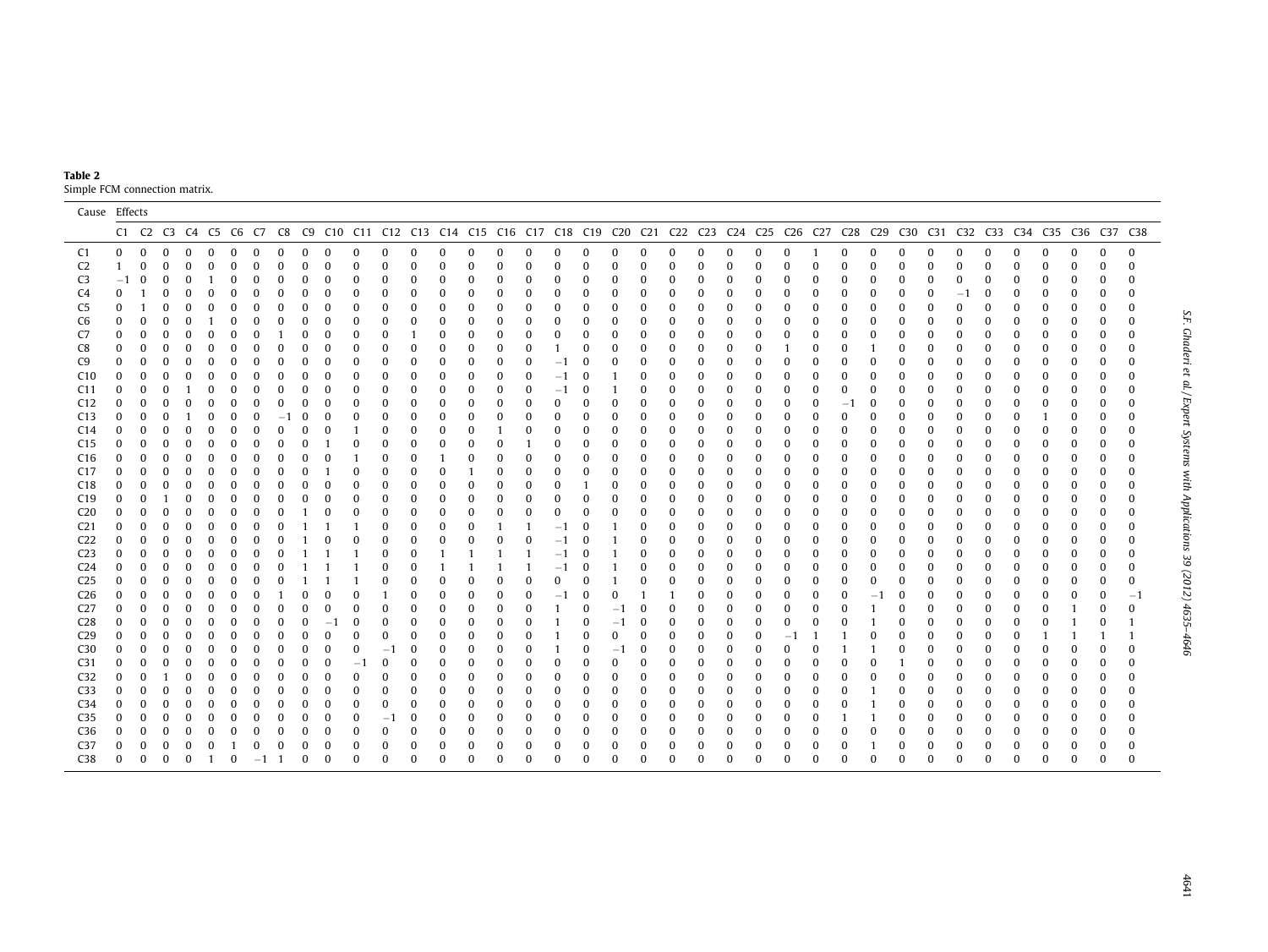| Table 2                       |  |
|-------------------------------|--|
| Simple FCM connection matrix. |  |

|                                    | Cause Effects |               |               |                      |                      |                      |                      |                      |          |          |          |          |                      |               |             |                                                                                                                                                |              |          |                     |               |          |                          |                      |               |              |               |                      |                      |               |          |                      |          |                  |          |          |          |                                      |                      |          |
|------------------------------------|---------------|---------------|---------------|----------------------|----------------------|----------------------|----------------------|----------------------|----------|----------|----------|----------|----------------------|---------------|-------------|------------------------------------------------------------------------------------------------------------------------------------------------|--------------|----------|---------------------|---------------|----------|--------------------------|----------------------|---------------|--------------|---------------|----------------------|----------------------|---------------|----------|----------------------|----------|------------------|----------|----------|----------|--------------------------------------|----------------------|----------|
|                                    |               |               |               |                      |                      |                      |                      |                      |          |          |          |          |                      |               |             | C1 C2 C3 C4 C5 C6 C7 C8 C9 C10 C11 C12 C13 C14 C15 C16 C17 C18 C19 C20 C21 C22 C23 C24 C25 C26 C27 C28 C29 C30 C31 C32 C33 C34 C35 C36 C37 C38 |              |          |                     |               |          |                          |                      |               |              |               |                      |                      |               |          |                      |          |                  |          |          |          |                                      |                      |          |
| C1                                 |               | $\Omega$      | $\bf{0}$      | $\Omega$             | $\Omega$             | $\Omega$             | $\Omega$             | $\Omega$             | $\Omega$ | $\Omega$ | $\Omega$ | $\Omega$ | $\Omega$             | $\Omega$      | $\Omega$    | $\Omega$                                                                                                                                       | $\Omega$     | $\Omega$ | $\Omega$            | $\Omega$      | $\Omega$ | $\Omega$                 | $\bf{0}$             | $\bf{0}$      | 0            | $\bf{0}$      | $\Omega$             |                      | $\Omega$      | $\Omega$ | $\Omega$             | $\Omega$ | $\Omega$         | $\Omega$ | 0        | $\Omega$ | $\Omega$                             | $\Omega$             | $\Omega$ |
| C <sub>2</sub>                     |               | $\mathbf{1}$  | $\bf{0}$      | $\bf{0}$             | 0                    | 0                    | $\Omega$             | $\Omega$             | $\Omega$ | 0        | $\Omega$ |          | $\Omega$             | O             | $\Omega$    | $\Omega$                                                                                                                                       | 0            | 0        |                     | 0             | 0        | $\bf{0}$                 | $\Omega$             | $\bf{0}$      | 0            | $\bf{0}$      | $\Omega$             | $\Omega$             | $\Omega$      |          | $\Omega$             | 0        | 0                | $\Omega$ | 0        | $\Omega$ | $\Omega$                             | $\mathbf{0}$         | $\Omega$ |
| C <sub>3</sub>                     |               | $-1$          | $\Omega$      | $\Omega$             | 0                    |                      |                      |                      |          |          | 0        |          | $\Omega$             | $\Omega$      | $\Omega$    | $\Omega$                                                                                                                                       | 0            | 0        |                     | 0             | 0        | 0                        | $\Omega$             | 0             | 0            | $\Omega$      | $\Omega$             | $\Omega$             | $\Omega$      | $\Omega$ | $\bf{0}$             | 0        |                  |          | 0        | 0        | 0                                    | $\bf{0}$             |          |
| C4                                 |               | $\Omega$      |               | 0                    | $\Omega$             |                      |                      |                      |          | U        | O        |          | $\Omega$             | $\Omega$      | $\Omega$    | $\Omega$                                                                                                                                       | $\Omega$     | 0        | 0                   | 0             | 0        | $\Omega$                 | $\bf{0}$             | 0             | 0            | $\Omega$      | $\Omega$             | $\Omega$             | $\Omega$      | $\Omega$ | $\Omega$             | 0        | $-1$             |          |          | 0        | $\Omega$                             | $\bf{0}$             |          |
| C <sub>5</sub>                     |               | $\Omega$      |               | $\bf{0}$             | 0                    | $\bf{0}$             |                      | $\Omega$             |          | $\Omega$ | $\Omega$ | $\Omega$ | $\Omega$             | $\Omega$      | $\Omega$    | 0                                                                                                                                              | 0            | 0        | 0                   | 0             | 0        | 0                        | $\bf{0}$             | 0             | 0            | 0             | $\Omega$             | $\bf{0}$             | $\mathbf 0$   | $\Omega$ | $\Omega$             | 0        | $\Omega$         |          | 0        | 0        | 0                                    | 0                    |          |
| C <sub>6</sub>                     |               | 0             | $\bf{0}$      | $\bf{0}$             | $\bf{0}$             |                      | $\Omega$             | 0                    | 0        | 0        | $\bf{0}$ | $\Omega$ | $\bf{0}$             | 0             | $\mathbf 0$ | $\bf{0}$                                                                                                                                       | $\bf{0}$     | 0        | $\bf{0}$            | 0             | 0        | $\bf{0}$                 | $\bf{0}$             | $\mathbf{0}$  | 0            | $\bf{0}$      | $\bf{0}$             | $\bf{0}$             | 0             | $\Omega$ | $\bf{0}$             | 0        | 0                | 0        |          | 0        | $\mathbf 0$                          | $\bf{0}$             |          |
| C7                                 |               | $\Omega$      | $\bf{0}$      | $\Omega$             | $\Omega$             | 0                    | $\Omega$             | $\Omega$             |          | $\Omega$ | $\Omega$ | $\Omega$ | $\Omega$             |               | $\Omega$    | $\Omega$                                                                                                                                       | $\Omega$     | 0        | $\Omega$            | 0             | 0        | 0                        | $\bf{0}$             | $\bf{0}$      | 0            | $\Omega$      | $\Omega$             | $\Omega$             | $\Omega$      |          | $\Omega$             | O        |                  | $\Omega$ |          | 0        | $\Omega$                             | $\bf{0}$             |          |
| C8                                 |               | $\Omega$      | 0             | $\bf{0}$             | $\bf{0}$             | 0                    | $\Omega$             | $\Omega$             | $\Omega$ | $\Omega$ | $\Omega$ | $\Omega$ | $\Omega$             | $\Omega$      | $\Omega$    | $\Omega$                                                                                                                                       | $\mathbf{0}$ | 0        |                     | 0             | 0        | 0                        | $\bf{0}$             | 0             | 0            | $\bf{0}$      |                      | $\Omega$             | $\Omega$      |          | $\Omega$             |          |                  |          | 0        | 0        | 0                                    | 0                    |          |
| C <sub>9</sub>                     |               |               | $\bf{0}$      | $\Omega$             | $\Omega$             | $\Omega$             | $\Omega$             | $\bf{0}$             |          | $\Omega$ | $\Omega$ | $\Omega$ | $\Omega$             | $\Omega$      | 0           | $\Omega$                                                                                                                                       | 0            | 0        | $-1$                | 0             | 0        | 0                        | $\Omega$             | $\bf{0}$      | 0            | $\Omega$      | $\Omega$             | 0                    | -0            |          | 0                    | 0        |                  |          | 0        | 0        | $\Omega$                             | $\bf{0}$             |          |
| C10                                |               | $\Omega$      | $\bf{0}$      | $\Omega$             | $\Omega$             | $\Omega$             | $\Omega$             | $\Omega$             |          | O        | $\Omega$ | $\Omega$ | $\bf{0}$             | $\mathbf 0$   | $\bf{0}$    | $\bf{0}$                                                                                                                                       | 0            | 0        | -1                  |               |          | $\Omega$                 | $\Omega$             | $\bf{0}$      | 0            | $\Omega$      | $\Omega$             | 0                    | $\Omega$      |          | O                    | 0        |                  |          | 0        | 0        | $\Omega$                             | $\bf{0}$             |          |
| C11                                |               | $\Omega$      | $\mathbf{0}$  | $\bf{0}$             |                      | $\bf{0}$             |                      | $\Omega$             |          | $\Omega$ | $\bf{0}$ | $\Omega$ | $\bf{0}$             | $\mathbf 0$   | $\bf{0}$    | $\bf{0}$                                                                                                                                       | 0            | 0        | $^{-1}$             | 0             |          | $\bf{0}$                 | $\bf{0}$             | $\mathbf{0}$  | 0            | $\bf{0}$      | $\bf{0}$             | 0                    | $\Omega$      | 0        | $\Omega$             | 0        | 0                | 0        | 0        | 0        | $\bf{0}$                             | $\bf{0}$             | 0        |
| C12                                |               | $\Omega$      | $\mathbf{0}$  | $\Omega$             | $\Omega$             | $\Omega$             | $\Omega$             | $\Omega$             | 0        | $\Omega$ | $\Omega$ |          | $\Omega$             | $\Omega$      | $\mathbf 0$ | $\Omega$                                                                                                                                       | $\Omega$     | 0        | $\Omega$            | 0             | 0        | $\Omega$                 | $\Omega$             | $\Omega$      | $\Omega$     | $\Omega$      | $\Omega$             | $\bf{0}$             | $-1$          | 0        | $\Omega$             | 0        |                  |          |          | 0        | $\bf{0}$                             | $\bf{0}$             |          |
| C13                                |               | $\Omega$      | $\bf{0}$      | $\bf{0}$             |                      | $\Omega$             | $\Omega$             | $\Omega$             | $-1$     | 0        | $\Omega$ | $\Omega$ | $\Omega$             | $\Omega$      | $\Omega$    | $\Omega$                                                                                                                                       | $\Omega$     | 0        | 0                   | $\Omega$      | 0        | $\bf{0}$                 | $\Omega$             | $\bf{0}$      | 0            | $\Omega$      | $\Omega$             | $\Omega$             | $\Omega$      |          | $\Omega$             | 0        |                  |          |          |          | $\Omega$                             | $\bf{0}$             | 0        |
| C <sub>14</sub>                    |               | $\Omega$      | 0             | $\Omega$             | 0                    | 0                    |                      |                      | 0        |          | $\Omega$ |          | $\Omega$             | 0             | $\Omega$    | $\Omega$                                                                                                                                       |              | 0        |                     | $\Omega$      | 0        | 0                        | $\bf{0}$             | 0             | 0            | $\bf{0}$      | $\bf{0}$             | $\Omega$             | $\Omega$      |          | $\Omega$             |          |                  |          |          | 0        | 0                                    | 0                    |          |
| C <sub>15</sub>                    |               | $\Omega$      | $\bf{0}$      | O                    | 0                    | $\Omega$             |                      | $\Omega$             |          |          |          |          | $\Omega$             | $\Omega$      | $\Omega$    | $\Omega$                                                                                                                                       | $\bf{0}$     |          |                     | 0             | 0        | $\bf{0}$                 | $\bf{0}$             | $\mathbf{0}$  | 0            | $\Omega$      | 0                    | $\Omega$             | -0            | $\Omega$ | $\Omega$             | 0        |                  |          |          | 0        | 0                                    | $\bf{0}$             |          |
| C16                                |               | 0             | $\bf{0}$      | 0                    | 0                    | $\Omega$             |                      | $\Omega$             |          |          | $\Omega$ |          | $\Omega$             | $\Omega$      |             | $\Omega$                                                                                                                                       | $\Omega$     | 0        |                     | 0             | 0        | 0                        | $\Omega$             | $\bf{0}$      | 0            | $\Omega$      | $\Omega$             | $\Omega$             | $\Omega$      | $\Omega$ | $\Omega$             | 0        |                  |          |          | 0        | $\Omega$                             | $\bf{0}$             |          |
| C17                                |               | $\Omega$      | 0             | $\bf{0}$             | $\Omega$             | $\Omega$             |                      | $\Omega$             |          | $\Omega$ |          | $\Omega$ | $\Omega$             | $\Omega$      | $\Omega$    |                                                                                                                                                | $\bf{0}$     | 0        | $\bf{0}$            | 0             | 0        | 0                        | $\bf{0}$             | 0             | 0            | 0             | $\bf{0}$             | $\bf{0}$             | $\mathbf 0$   | $\Omega$ | $\Omega$             | 0        | $\Omega$         | $\Omega$ | 0        | 0        | $\boldsymbol{0}$                     | $\mathbf{0}$         |          |
| C18                                |               | $\Omega$      | $\bf{0}$      | $\Omega$             | <sup>0</sup>         | $\Omega$             | $\Omega$             | $\Omega$             |          | $\Omega$ | $\Omega$ | $\Omega$ | $\Omega$             | $\Omega$      | $\mathbf 0$ | $\Omega$                                                                                                                                       | $\mathbf{0}$ | 0        | $\bf{0}$            |               | 0        | $\bf{0}$                 | $\bf{0}$             | $\mathbf{0}$  | 0            | $\bf{0}$      | $\Omega$             | $\Omega$             | $\Omega$      |          | $\Omega$             | 0        |                  | $\Omega$ |          | 0        | $\boldsymbol{0}$                     | $\mathbf{0}$         |          |
| C19                                |               | $\Omega$      | $\bf{0}$      |                      | $\bf{0}$             | $\bf{0}$             | $\Omega$             | $\Omega$             |          | $\Omega$ | $\Omega$ | $\Omega$ | $\Omega$             | $\Omega$      | $\Omega$    | $\Omega$                                                                                                                                       | $\Omega$     | $\Omega$ |                     | $\bf{0}$      | 0        | 0                        | $\bf{0}$             | 0             | 0            | $\Omega$      | $\Omega$             | $\Omega$             | $\Omega$      | $\Omega$ | $\Omega$             | O        |                  | $\Omega$ | 0        | $\Omega$ | $\bf{0}$                             | $\bf{0}$             | $\Omega$ |
| C <sub>20</sub>                    |               | $\Omega$      | 0             | $\Omega$             | $\bf{0}$             | $\Omega$             | $\Omega$             | $\Omega$             | $\Omega$ |          | $\Omega$ | $\Omega$ | $\bf{0}$             | $\mathbf 0$   | 0           | $\Omega$                                                                                                                                       | 0            | $\Omega$ |                     | $\Omega$      | 0        | $\bf{0}$                 | $\Omega$             | 0             | 0            | $\Omega$      | $\Omega$             | $\Omega$             | $\Omega$      |          | $\Omega$             | O        |                  | $\Omega$ | 0        | 0        | $\bf{0}$                             | $\bf{0}$             |          |
| C <sub>21</sub>                    |               | 0             | $\bf{0}$      | $\bf{0}$             | 0                    | $\bf{0}$             | 0                    | $\Omega$             |          |          |          |          | $\bf{0}$             | $\mathbf 0$   | $\bf{0}$    | $\bf{0}$                                                                                                                                       |              |          | -1                  | 0             |          | 0                        | $\bf{0}$             | $\bf{0}$      | 0            | $\Omega$      | $\Omega$             | 0                    | $\Omega$      |          | O                    |          |                  |          | 0        | 0        | $\bf{0}$                             | $\bf{0}$             |          |
| C22                                |               | 0<br>$\Omega$ | 0             | $\bf{0}$             | 0                    | $\Omega$<br>$\Omega$ | $\Omega$<br>$\Omega$ | $\Omega$             |          |          |          |          | $\Omega$             | 0             | $\bf{0}$    | $\bf{0}$                                                                                                                                       | 0            | 0        | -1                  |               |          | $\Omega$                 | $\Omega$             | 0             | 0            | $\bf{0}$      | $\Omega$<br>$\Omega$ | 0                    | 0<br>$\Omega$ | $\Omega$ | $\Omega$<br>$\Omega$ | 0        |                  | 0        | 0        | 0        | $\Omega$                             | $\bf{0}$             |          |
| C <sub>23</sub><br>C <sub>24</sub> |               | $\Omega$      | 0<br>$\bf{0}$ | $\bf{0}$<br>$\Omega$ | $\bf{0}$<br>$\Omega$ | $\Omega$             | $\Omega$             | $\bf{0}$<br>$\Omega$ | 0<br>O   |          |          |          | $\bf{0}$<br>$\Omega$ | 0<br>$\Omega$ | -1          | -1                                                                                                                                             |              |          | -1                  | 0<br>$\Omega$ |          | $\bf{0}$<br>$\mathbf{0}$ | $\bf{0}$<br>$\Omega$ | 0<br>$\Omega$ | 0<br>0       | 0<br>$\Omega$ | $\Omega$             | $\Omega$<br>$\Omega$ | $\Omega$      |          | $\Omega$             | 0        | $\boldsymbol{0}$ | $\Omega$ | 0        | 0<br>0   | $\boldsymbol{0}$<br>$\boldsymbol{0}$ | $\bf{0}$<br>$\bf{0}$ |          |
| C <sub>25</sub>                    |               | $\Omega$      | $\bf{0}$      | $\Omega$             | $\Omega$             | $\Omega$             | $\Omega$             | $\Omega$             |          |          |          |          | $\Omega$             | $\Omega$      | $\Omega$    | $\Omega$                                                                                                                                       | $\Omega$     | $\Omega$ | $^{-1}$<br>$\Omega$ | 0             |          | $\bf{0}$                 | 0                    | $\bf{0}$      | 0            | $\Omega$      | $\Omega$             | 0                    | $\mathbf 0$   | $\Omega$ | $\Omega$             | 0        |                  |          |          | 0        | $\Omega$                             | $\bf{0}$             | 0        |
| C <sub>26</sub>                    |               | $\Omega$      | $\mathbf{0}$  | $\Omega$             | 0                    | $\Omega$             | $\Omega$             |                      |          |          | $\Omega$ | $\Omega$ |                      | $\Omega$      | $\Omega$    | $\Omega$                                                                                                                                       | 0            | $\Omega$ | $-1$                | $\Omega$      |          |                          |                      | 0             | 0            | 0             | $\bf{0}$             | $\bf{0}$             | $\mathbf 0$   | $-1$     | $\Omega$             | 0        |                  |          | 0        | 0        | $\mathbf 0$                          | $\bf{0}$             | $-1$     |
| C <sub>27</sub>                    |               | 0             | $\bf{0}$      | $\bf{0}$             | 0                    | 0                    |                      |                      |          |          | $\Omega$ |          | $\Omega$             | $\Omega$      | $\Omega$    | $\Omega$                                                                                                                                       | $\Omega$     | 0        |                     | 0             |          | $\bf{0}$                 | $\bf{0}$             | 0             | 0            | 0             | 0                    | 0                    | $\Omega$      |          | $\Omega$             | 0        |                  | 0        | 0        | 0        |                                      | $\Omega$             | U        |
| C <sub>28</sub>                    |               | 0             | $\bf{0}$      | 0                    | 0                    | $\Omega$             |                      | $\Omega$             |          | 0        | -1       | $\Omega$ | $\bf{0}$             | $\Omega$      | $\Omega$    | 0                                                                                                                                              | 0            | 0        |                     | 0             | $-1$     | 0                        | $\bf{0}$             | 0             | 0            | $\mathbf{0}$  | $\bf{0}$             | 0                    | 0             |          | $\Omega$             | 0        | $\Omega$         | $\Omega$ | 0        | 0        |                                      | $\bf{0}$             |          |
| C <sub>29</sub>                    |               | $\Omega$      | $\bf{0}$      | $\Omega$             | $\Omega$             | $\Omega$             | $\Omega$             | $\Omega$             | $\Omega$ | $\Omega$ | $\Omega$ | $\Omega$ | $\bf{0}$             | $\Omega$      | $\Omega$    | $\Omega$                                                                                                                                       | $\bf{0}$     | $\Omega$ |                     | $\Omega$      | $\Omega$ | $\mathbf{0}$             | $\Omega$             | 0             | 0            | $\Omega$      | $-1$                 |                      |               |          | $\Omega$             | $\Omega$ | $\Omega$         | $\Omega$ | $\Omega$ |          |                                      |                      |          |
| C <sub>30</sub>                    |               | $\Omega$      | $\bf{0}$      | $\bf{0}$             | $\bf{0}$             | 0                    | $\Omega$             | $\Omega$             | 0        | $\Omega$ | $\Omega$ | $\Omega$ | $-1$                 | $\Omega$      | $\Omega$    | $\bf{0}$                                                                                                                                       | $\Omega$     | $\Omega$ |                     | $\Omega$      | $^{-1}$  | $\mathbf{0}$             | $\bf{0}$             | $\mathbf{0}$  | 0            | $\Omega$      | $\Omega$             | $\Omega$             |               |          | $\Omega$             | 0        | $\Omega$         | $\Omega$ |          | $\Omega$ |                                      | $\mathbf{0}$         | $\Omega$ |
| C <sub>31</sub>                    |               | $\Omega$      | 0             | $\Omega$             | $\Omega$             | $\Omega$             |                      | $\Omega$             | $\Omega$ | 0        | $\Omega$ | -1       | $\Omega$             | $\Omega$      | $\Omega$    | $\Omega$                                                                                                                                       | $\Omega$     | 0        |                     | 0             | 0        | $\Omega$                 | $\Omega$             | 0             | 0            | $\Omega$      | $\Omega$             | $\Omega$             | 0             |          |                      |          |                  |          | 0        | 0        | 0                                    | $\bf{0}$             | 0        |
| C <sub>32</sub>                    |               | $\Omega$      | 0             |                      | $\Omega$             | $\Omega$             | $\Omega$             | $\Omega$             |          | $\Omega$ | $\Omega$ | $\Omega$ | $\Omega$             | $\Omega$      | $\Omega$    | $\Omega$                                                                                                                                       | 0            | 0        |                     | 0             | 0        | 0                        | $\Omega$             | 0             | 0            | $\Omega$      | $\Omega$             | 0                    | $\Omega$      |          | $\Omega$             | O        |                  |          |          | 0        | $\Omega$                             | $\bf{0}$             |          |
| C <sub>33</sub>                    |               | $\Omega$      | $\bf{0}$      | $\bf{0}$             | 0                    | 0                    |                      | $\Omega$             |          | 0        | 0        | $\Omega$ | $\Omega$             | 0             | 0           | 0                                                                                                                                              | 0            | 0        | 0                   | 0             | 0        | 0                        | 0                    | $\bf{0}$      | 0            | $\bf{0}$      | $\Omega$             | 0                    | -0            |          | $\Omega$             | 0        |                  | 0        | 0        | 0        | 0                                    | $\bf{0}$             |          |
| C <sub>34</sub>                    |               | $\bf{0}$      | $\bf{0}$      | $\bf{0}$             | $\Omega$             | $\bf{0}$             | $\Omega$             | $\bf{0}$             | 0        | 0        | $\bf{0}$ | $\bf{0}$ | $\bf{0}$             | $\mathbf 0$   | $\mathbf 0$ | $\bf{0}$                                                                                                                                       | $\bf{0}$     | 0        | $\bf{0}$            | 0             | 0        | 0                        | $\bf{0}$             | $\mathbf{0}$  | $\mathbf{0}$ | $\mathbf{0}$  | $\bf{0}$             | 0                    | $\mathbf 0$   |          | $\Omega$             | 0        | 0                | $\Omega$ | 0        | 0        | $\bf{0}$                             | $\mathbf{0}$         |          |
| C <sub>35</sub>                    |               | <sup>0</sup>  | $\bf{0}$      | $\Omega$             | $\Omega$             | $\Omega$             |                      |                      | 0        | U        | 0        | $\Omega$ | $-1$                 | $\Omega$      | $\Omega$    | $\Omega$                                                                                                                                       | $\Omega$     | 0        | $\Omega$            | $\Omega$      | 0        | $\bf{0}$                 | $\Omega$             | $\Omega$      | 0            | $\Omega$      | $\Omega$             | $\Omega$             |               |          | $\Omega$             | O        |                  |          |          | 0        | $\Omega$                             | $\Omega$             |          |
| C <sub>36</sub>                    |               | <sup>0</sup>  | 0             | $\bf{0}$             | $\Omega$             | $\Omega$             |                      |                      |          |          | $\Omega$ |          | $\Omega$             | $\Omega$      | $\Omega$    | $\bf{0}$                                                                                                                                       | $\Omega$     | 0        | 0                   | 0             | 0        | 0                        | 0                    | 0             | 0            | $\bf{0}$      | $\Omega$             | 0                    | $\mathbf 0$   |          | $\Omega$             | O        |                  |          |          | 0        | $\bf{0}$                             | $\bf{0}$             | U        |
| C <sub>37</sub>                    |               |               | $\bf{0}$      | $\Omega$             | $\Omega$             | $\Omega$             |                      |                      |          |          |          |          | $\Omega$             | $\Omega$      | $\Omega$    | $\Omega$                                                                                                                                       | 0            | 0        |                     | 0             | 0        | $\Omega$                 | $\Omega$             | 0             | 0            | $\Omega$      | $\Omega$             | 0                    | $\mathbf 0$   |          | $\bf{0}$             | 0        |                  | 0        |          | 0        | 0                                    | $\bf{0}$             | 0        |
| C38                                |               | $\Omega$      | $\bf{0}$      | $\bf{0}$             | $\bf{0}$             | -1                   | $\Omega$             | $-1$                 |          | $\Omega$ | $\Omega$ | $\Omega$ | $\Omega$             | $\Omega$      | $\Omega$    | $\Omega$                                                                                                                                       | $\Omega$     | O        |                     | $\Omega$      |          | $\Omega$                 | $\Omega$             | $\Omega$      | $\Omega$     | $\Omega$      | $\Omega$             | $\Omega$             | $\Omega$      | $\Omega$ | $\Omega$             | $\Omega$ | ŋ                |          |          | $\Omega$ | $\Omega$                             | $\Omega$             | $\Omega$ |
|                                    |               |               |               |                      |                      |                      |                      |                      |          |          |          |          |                      |               |             |                                                                                                                                                |              |          |                     |               |          |                          |                      |               |              |               |                      |                      |               |          |                      |          |                  |          |          |          |                                      |                      |          |

# S.F. Ghaderi et al. / Expert Systems with Applications 39 (2012) 4635-4646 S.F. Ghaderi et al. / Expert Systems with Applications 39 (2012) 4635–4646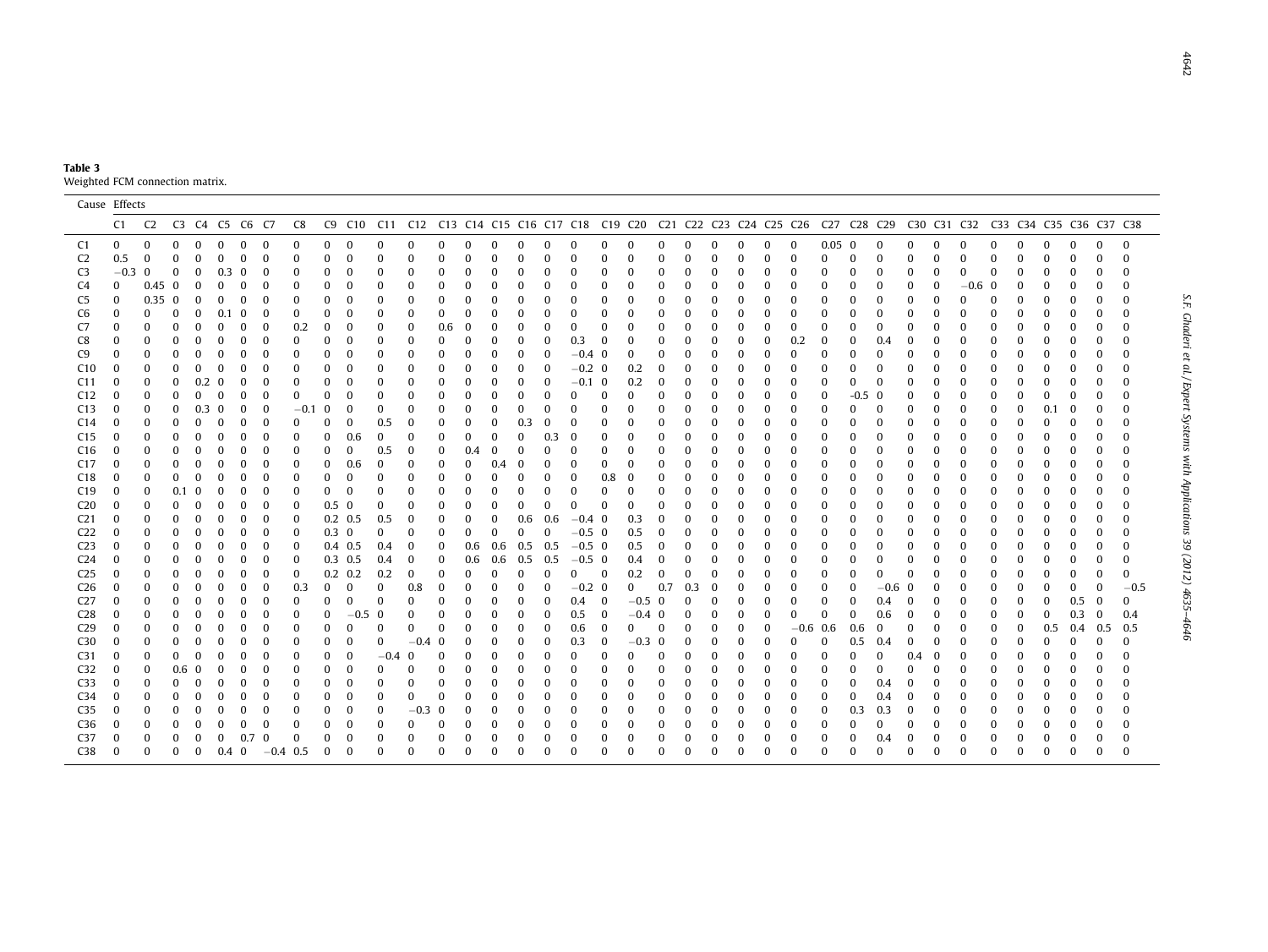| Table 3 |                                 |
|---------|---------------------------------|
|         | Weighted FCM connection matrix. |

|                        | Cause Effects |                |               |                |          |          |                  |          |               |                 |                 |               |                      |                      |                      |          |                 |                            |              |            |          |          |               |        |               |                      |                  |                      |                                                                                                                        |          |          |                      |               |          |        |               |          |                      |
|------------------------|---------------|----------------|---------------|----------------|----------|----------|------------------|----------|---------------|-----------------|-----------------|---------------|----------------------|----------------------|----------------------|----------|-----------------|----------------------------|--------------|------------|----------|----------|---------------|--------|---------------|----------------------|------------------|----------------------|------------------------------------------------------------------------------------------------------------------------|----------|----------|----------------------|---------------|----------|--------|---------------|----------|----------------------|
|                        | C1            | C <sub>2</sub> |               | C3 C4 C5 C6 C7 |          |          |                  | C8       |               |                 |                 |               |                      |                      |                      |          |                 |                            |              |            |          |          |               |        |               |                      |                  |                      | C9 C10 C11 C12 C13 C14 C15 C16 C17 C18 C19 C20 C21 C22 C23 C24 C25 C26 C27 C28 C29 C30 C31 C32 C33 C34 C35 C36 C37 C38 |          |          |                      |               |          |        |               |          |                      |
| C1                     | $\mathbf{0}$  | $\mathbf{0}$   | 0             | $\bf{0}$       | $\bf{0}$ | 0        | $\mathbf 0$      | 0        | $\bf{0}$      | $\bf{0}$        | $\bf{0}$        | $\bf{0}$      | $\Omega$             | $\Omega$             | $\Omega$             | 0        | $\bf{0}$        | 0                          | $\bf{0}$     | 0          | 0        | $\Omega$ | $\bf{0}$      | 0      | 0             | $\bf{0}$             | $0.05 \quad 0$   |                      | $\bf{0}$                                                                                                               | $\Omega$ | 0        | $\bf{0}$             | 0             | 0        | 0      | $\mathbf{0}$  | $\bf{0}$ | $\bf{0}$             |
| C <sub>2</sub>         | 0.5           | 0              | $\Omega$      | $\bf{0}$       | $\Omega$ | $\Omega$ |                  | $\Omega$ | $\Omega$      | $\bf{0}$        |                 | 0             | $\Omega$             |                      | 0                    | $\Omega$ | $\Omega$        | $\bf{0}$                   | $\Omega$     | $\Omega$   | $\Omega$ |          | $\Omega$      | 0      | $\Omega$      | $\bf{0}$             | $\Omega$         | $\bf{0}$             |                                                                                                                        |          |          | $\Omega$             | $\Omega$      | 0        |        | $\Omega$      |          | $\bf{0}$             |
| C <sub>3</sub>         | $-0.3$        | $\bf{0}$       | 0             | $\bf{0}$       | 0.3      | $\bf{0}$ | $\Omega$         | 0        | 0             | 0               |                 | $\Omega$      | $\Omega$             | 0                    | 0                    | 0        | $\Omega$        | $\Omega$                   | $\Omega$     | 0          | 0        |          | $\Omega$      | 0      | 0             | $\Omega$             | $\Omega$         | $\Omega$             | 0                                                                                                                      | 0        | $\Omega$ | $\bf{0}$             | $\bf{0}$      | 0        | 0      | $\Omega$      |          | $\bf{0}$             |
| C4                     | 0             | 0.45           | $\bf{0}$      | $\bf{0}$       | 0        | $\Omega$ | $\Omega$         | 0        | $\bf{0}$      | 0               | 0               | 0             | 0                    |                      | 0                    | 0        | $\Omega$        | 0                          | -0           | 0          | 0        |          | $\Omega$      | 0      | 0             | $\Omega$             | $\Omega$         | $\bf{0}$             | 0                                                                                                                      | 0        | 0        | $-0.6$               | 0             | 0        | 0      | 0             |          | $\Omega$             |
| C <sub>5</sub>         | $\bf{0}$      | 0.35           | $\bf{0}$      | $\bf{0}$       | 0        | $\Omega$ | $\Omega$         | 0        | $\bf{0}$      | $\Omega$        | 0               | 0             | $\Omega$             | $\Omega$             | $\Omega$             | $\Omega$ | $\Omega$        | $\Omega$                   | $\Omega$     | 0          | $\Omega$ |          | $\Omega$      | 0      | $\Omega$      | $\Omega$             | $\Omega$         | $\Omega$             | $\Omega$                                                                                                               | 0        | 0        | $\Omega$             | $\mathbf 0$   | 0        | 0      | $\Omega$      |          | $\Omega$             |
| C6                     | $\Omega$      | $\bf{0}$       | 0             | $\bf{0}$       | 0.1      | 0        | $\Omega$         | 0        | $\bf{0}$      | $\Omega$        |                 | 0             | $\Omega$             | $\Omega$             | 0                    | 0        | $\Omega$        | $\Omega$                   | $\Omega$     | 0          | $\Omega$ |          | $\Omega$      | 0      | 0             | $\bf{0}$             | $\Omega$         | $\Omega$             | $\Omega$                                                                                                               | 0        | 0        | $\Omega$             | $\Omega$      | 0        | 0      | $\Omega$      |          | $\Omega$             |
| C7                     |               | $\Omega$       | $\Omega$      | $\bf{0}$       | $\Omega$ | $\Omega$ | $\Omega$         | 0.2      | $\bf{0}$      | $\bf{0}$        |                 | $\Omega$      | 0.6                  | $\Omega$             | 0                    | 0        | $\Omega$        | $\Omega$                   | $\Omega$     | 0          | $\Omega$ |          | $\Omega$      | 0      | $\Omega$      | $\bf{0}$             | $\Omega$         | $\Omega$             | $\Omega$                                                                                                               | 0        | 0        | $\Omega$             | 0             | 0        | 0      | $\Omega$      |          | $\Omega$             |
| C8                     |               | 0              | 0             | 0              | 0        | $\Omega$ | $\Omega$         | 0        | 0             | 0               | 0               | 0             | 0                    | 0                    | 0                    | 0        | $\bf{0}$        | 0.3                        | $\bf{0}$     | 0          | $\Omega$ |          | 0             | 0      | 0             | 0.2                  | $\Omega$         | $\bf{0}$             | 0.4                                                                                                                    | 0        | 0        | 0                    | 0             | 0        | 0      | 0             |          | $\Omega$             |
| C9                     | 0             | 0              | 0             | 0              | 0        | 0        | 0                | 0        | 0             | 0               | 0               | 0             | 0                    | 0                    | 0                    | 0        | $\bf{0}$        | $-0.4 \quad 0$             |              | 0          | 0        |          | 0             | 0      | 0             | 0                    | $\Omega$         | 0                    | 0                                                                                                                      | U        | 0        | 0                    | 0             | 0        | 0      | 0             |          | $\Omega$             |
| C <sub>10</sub>        | $\Omega$      | $\bf{0}$       | 0             | 0              | 0        | $\Omega$ | 0                | 0        | 0             | 0               | 0               | 0             | 0                    | 0                    | 0                    | 0        | $\bf{0}$        | $-0.2$ 0                   |              | 0.2        | 0        |          | 0             | 0      | 0             | 0                    | $\Omega$         | $\bf{0}$             | 0                                                                                                                      | 0        | 0        | 0                    | 0             | 0        | 0      | 0             |          | $\Omega$             |
| C <sub>11</sub>        | $\Omega$      | $\bf{0}$       | 0             | 0.2            | 0        | 0        |                  | 0        | 0             | 0               |                 | 0             | 0                    | 0                    | 0                    | 0        | $\bf{0}$        | $-0.1 \quad 0$             |              | 0.2        | $\Omega$ |          | 0             | 0      | 0             | $\Omega$             | $\Omega$         | $\mathbf{0}$         | 0                                                                                                                      | 0        | 0        | 0                    | 0             | 0        | 0      | $\Omega$      |          | $\Omega$             |
| C12                    | $\bf{0}$      | 0              | 0             | $\bf{0}$       | 0        | 0        | 0                | 0        | 0             | 0               | 0               | 0             | 0                    | $\Omega$             | 0                    | 0        | $\Omega$        | 0                          | $\Omega$     | 0          | 0        |          | 0             | 0      | 0             | $\bf{0}$             | $\bf{0}$         | $-0.$                | 0                                                                                                                      | 0        | 0        | 0                    | 0             | 0        | 0      | $\bf{0}$      |          | $\Omega$             |
| C13                    | $\bf{0}$      | $\bf{0}$       | 0             | 0.3            | $\bf{0}$ | 0        | 0                | $-0.1$   | $\mathbf{0}$  | 0               | 0               | $\bf{0}$      | 0                    | $\Omega$             | 0                    | 0        | 0               | $\Omega$                   | 0            | 0          | 0        |          | 0             | 0      | 0             | 0                    | $\Omega$         | $\bf{0}$             | -0                                                                                                                     | 0        | 0        | 0                    | 0             | 0        | 0.1    | $\bf{0}$      |          | $\Omega$             |
| C <sub>14</sub>        | 0             | 0              | 0             | 0              | 0        | $\Omega$ | 0                | 0        | 0             | 0               | 0.5             | 0             | 0                    | 0                    | 0                    | 0.3      | 0               | 0                          | 0            | 0          | 0        |          | 0             | 0      | 0             | 0                    | 0                | 0                    |                                                                                                                        | O        | 0        | 0                    | 0             | 0        | 0      | 0             |          | $\Omega$             |
| C <sub>15</sub>        | 0             | $\bf{0}$       | 0             | 0              | 0        | 0        | 0                | 0        | 0             | 0.6             | 0               | $\bf{0}$      | $\mathbf{0}$         | $\Omega$             | $\boldsymbol{0}$     | 0        | 0.3             | $\Omega$                   | 0            | 0          | $\Omega$ |          | 0             | 0      | 0             | $\Omega$             | $\Omega$         | $\bf{0}$             |                                                                                                                        | 0        | 0        | $\bf{0}$             | $\bf{0}$      | 0        | 0      | $\bf{0}$      |          | $\mathbf 0$          |
| C16                    | 0             | $\Omega$       | $\Omega$      | 0              | 0        | 0        |                  | 0        | $\bf{0}$      | 0               | 0.5             | $\Omega$      | $\bf{0}$             | 0.4                  | 0                    | 0        | $\Omega$        | 0                          | $\Omega$     | 0          | 0        |          | 0             | 0      | 0             | $\Omega$             |                  | $\Omega$             |                                                                                                                        | 0        | 0        | $\Omega$             | 0             | 0        | 0      | $\Omega$      |          | $\Omega$             |
| C17                    | $\Omega$      | $\Omega$       | $\Omega$      | 0              | 0        | 0        | 0                | $\Omega$ | 0             | 0.6             | $\Omega$        | 0             | $\bf{0}$             | $\Omega$             | 0.4                  | 0        | 0               | $\bf{0}$                   | $\Omega$     | 0          | $\Omega$ |          | 0             | 0      | 0             | $\Omega$             | 0                | $\bf{0}$             |                                                                                                                        | 0        | 0        | 0                    | $\Omega$      | 0        | 0      | $\bf{0}$      |          | $\Omega$             |
| C18                    | 0             | $\Omega$       | 0             | $\bf{0}$       | 0        | $\Omega$ | $\Omega$         | 0        | 0             | 0               | 0               | 0             | $\Omega$             | $\Omega$             | 0                    | 0        | 0               | 0                          | 0.8          | -0         | 0        |          | $\Omega$      | 0      | 0             | $\Omega$             |                  | $\Omega$             |                                                                                                                        | 0        | 0        | $\Omega$             | $\Omega$      | 0        | 0      | $\bf{0}$      |          | $\Omega$             |
| C19                    | $\bf{0}$      | 0              | 0.1           | 0              | 0        | $\Omega$ | 0                | 0        | 0             | 0               | 0               | 0             | 0                    | 0                    | 0                    | 0        | $\bf{0}$        | 0<br>$\Omega$              | 0            | 0          | 0        |          | 0             | 0      | 0             | $\Omega$             | $\Omega$         | 0                    | 0                                                                                                                      | U        | 0        | 0                    | 0             | 0        | 0      | 0             |          | $\Omega$             |
| C <sub>20</sub>        | $\bf{0}$      | $\bf{0}$       | 0             | 0              | $\Omega$ | 0        | 0                | $\Omega$ | 0.5           | $\bf{0}$        | $\Omega$        | $\Omega$      | $\bf{0}$             | 0                    | 0                    | 0        | $\Omega$        |                            | $\Omega$     | $\Omega$   | $\Omega$ |          | $\Omega$      | 0      | 0             | $\Omega$             |                  | $\bf{0}$             |                                                                                                                        | 0        | 0        | $\bf{0}$             | $\bf{0}$      | 0        | 0      | $\Omega$      |          | $\Omega$             |
| C21<br>C <sub>22</sub> | 0<br>$\bf{0}$ | 0              | $\Omega$<br>0 | $\bf{0}$       | 0<br>0   | 0        | 0<br>$\mathbf 0$ | 0        | $0.3 \quad 0$ | $0.2 \quad 0.5$ | 0.5<br>$\bf{0}$ | $\bf{0}$      | $\bf{0}$<br>$\bf{0}$ | $\bf{0}$<br>$\Omega$ | $\bf{0}$<br>$\bf{0}$ | 0.6<br>0 | 0.6<br>$\bf{0}$ | $-0.4 \quad 0$<br>$-0.5$ 0 |              | 0.3        | 0        |          | $\Omega$<br>0 | 0<br>0 | 0             | $\Omega$<br>$\bf{0}$ | $\Omega$         | $\Omega$<br>$\bf{0}$ | 0                                                                                                                      | 0<br>0   | 0        | $\Omega$<br>$\bf{0}$ | $\bf{0}$      | 0        | 0      | $\Omega$      |          | $\Omega$<br>$\Omega$ |
| C <sub>23</sub>        | $\bf{0}$      | 0<br>$\Omega$  | 0             | 0<br>$\bf{0}$  | $\Omega$ | 0<br>0   | 0                | 0<br>0   |               | $0.4$ 0.5       | 0.4             | 0<br>$\bf{0}$ | $\Omega$             | 0.6                  | 0.6                  | 0.5      | 0.5             | $-0.5$ 0                   |              | 0.5<br>0.5 | 0<br>0   |          | $\bf{0}$      | 0      | 0<br>$\Omega$ | $\bf{0}$             | $\Omega$         | $\Omega$             | $\Omega$                                                                                                               | 0        | 0<br>0   | $\Omega$             | 0<br>$\bf{0}$ | 0<br>0   | 0<br>0 | 0<br>$\Omega$ |          | $\Omega$             |
| C <sub>24</sub>        | $\bf{0}$      | $\bf{0}$       | 0             | 0              | 0        | 0        | $\mathbf 0$      | $\Omega$ |               | $0.3$ 0.5       | 0.4             | 0             | 0                    | 0.6                  | 0.6                  | 0.5      | 0.5             | $-0.5$ 0                   |              | 0.4        | 0        |          | $\Omega$      | 0      | 0             | $\Omega$             | $\Omega$         | $\bf{0}$             | 0                                                                                                                      | 0        | 0        | $\bf{0}$             | 0             | 0        | 0      | $\Omega$      |          | $\Omega$             |
| C <sub>25</sub>        | $\bf{0}$      | $\bf{0}$       | 0             | $\bf{0}$       | $\Omega$ | $\Omega$ | $\mathbf 0$      | 0        |               | $0.2 \quad 0.2$ | 0.2             | 0             | $\Omega$             | $\Omega$             | $\Omega$             | $\Omega$ | $\bf{0}$        | $\Omega$                   | $\mathbf{0}$ | 0.2        | 0        | $\Omega$ | $\bf{0}$      | 0      | $\Omega$      | $\Omega$             | $\Omega$         | $\bf{0}$             | $\Omega$                                                                                                               | $\Omega$ | $\Omega$ | $\Omega$             | $\bf{0}$      | 0        | 0      | $\Omega$      |          | $\Omega$             |
| C <sub>26</sub>        | $\mathbf 0$   | $\Omega$       | $\Omega$      | $\bf{0}$       | $\Omega$ | $\Omega$ | $\Omega$         | 0.3      | $\bf{0}$      | $\bf{0}$        | $\Omega$        | 0.8           | $\Omega$             |                      | $\Omega$             | $\Omega$ | $\Omega$        | $-0.2$ 0                   |              | 0          | 0.7      | 0.3      | $\Omega$      | 0      | $\Omega$      | $\bf{0}$             | $\Omega$         | $\Omega$             | $-0.6$                                                                                                                 | -0       | 0        | $\Omega$             | $\Omega$      | 0        | 0      | $\Omega$      |          | $-0.5$               |
| C <sub>27</sub>        | $\mathbf 0$   | $\Omega$       | $\Omega$      | $\bf{0}$       | $\Omega$ | $\Omega$ | $\Omega$         | 0        | $\bf{0}$      | $\Omega$        | $\Omega$        | $\bf{0}$      | $\Omega$             |                      | 0                    | 0        | $\Omega$        | 0.4                        | 0            | $-0.5$ 0   |          |          | $\Omega$      | 0      | 0             | $\bf{0}$             | $\Omega$         | $\Omega$             | 0.4                                                                                                                    | 0        | $\bf{0}$ | 0                    | 0             | 0        | 0      | 0.5           | $\bf{0}$ | $\bf{0}$             |
| C <sub>28</sub>        | $\Omega$      | $\Omega$       | $\Omega$      | $\bf{0}$       | 0        | $\Omega$ | $\Omega$         | 0        | $\bf{0}$      | $-0.5$          | $\mathbf 0$     | 0             | $\Omega$             |                      | $\bf{0}$             | $\Omega$ | $\Omega$        | 0.5                        | 0            | $-0.4$ 0   |          |          | $\Omega$      | 0      | $\Omega$      | $\bf{0}$             | $\Omega$         | $\Omega$             | 0.6                                                                                                                    | $\Omega$ | 0        | $\Omega$             | 0             | $\Omega$ | 0      | 0.3           | $\bf{0}$ | 0.4                  |
| C <sub>29</sub>        | $\bf{0}$      | 0              | 0             | 0              | 0        | 0        | 0                | 0        | 0             | 0               | 0               | $\bf{0}$      | 0                    | 0                    | 0                    | 0        | $\bf{0}$        | 0.6                        | $\bf{0}$     | 0          | 0        |          | $\bf{0}$      | 0      | 0             | $-0.6$ 0.6           |                  | 0.6                  | 0                                                                                                                      | 0        | 0        | $\bf{0}$             | $\bf{0}$      | $\bf{0}$ | 0.5    | 0.4           | 0.5      | 0.5                  |
| C <sub>30</sub>        | $\bf{0}$      | $\bf{0}$       | 0             | $\bf{0}$       | 0        | $\Omega$ | 0                | 0        | 0             | 0               | $\bf{0}$        | $-0.4$        | 0                    |                      | 0                    | 0        | 0               | 0.3                        | 0            | $-0.3$     | $\bf{0}$ |          | 0             | 0      | 0             | $\bf{0}$             | $\bf{0}$         | 0.5                  | 0.4                                                                                                                    | 0        | 0        | 0                    | 0             | 0        | 0      | $\bf{0}$      | O        | $\bf{0}$             |
| C31                    | $\bf{0}$      | 0              | $\Omega$      | $\bf{0}$       | 0        | $\Omega$ |                  | 0        | 0             | 0               | $-0.4$          | 0             | 0                    |                      | 0                    | 0        | $\Omega$        | 0                          | $\Omega$     | 0          | $\Omega$ |          | 0             | 0      | 0             | 0                    | $\Omega$         | $\bf{0}$             | 0                                                                                                                      | 0.4      | 0        | 0                    | 0             | 0        | 0      | $\Omega$      |          | $\bf{0}$             |
| C <sub>32</sub>        | 0             | $\bf{0}$       | 0.6           | 0              | 0        | 0        | 0                | 0        | 0             | 0               | 0               | 0             | 0                    |                      | 0                    | 0        | 0               | 0                          | $\Omega$     | 0          | 0        |          | 0             | 0      | 0             | $\bf{0}$             | 0                | $\bf{0}$             | $\Omega$                                                                                                               | 0        | 0        | 0                    | 0             | 0        | 0      | 0             |          | $\Omega$             |
| C33                    | $\bf{0}$      | $\Omega$       | 0             | $\bf{0}$       | 0        | 0        | 0                | 0        | 0             | 0               |                 | 0             | 0                    | 0                    | 0                    | 0        | 0               | $\Omega$                   | $\Omega$     | 0          | $\Omega$ |          | 0             | 0      | 0             | 0                    | $\Omega$         | $\bf{0}$             | 0.4                                                                                                                    | 0        | 0        | 0                    | 0             | 0        | 0      | $\Omega$      |          | $\Omega$             |
| C34                    | $\bf{0}$      | 0              | 0             | $\bf{0}$       | 0        | $\Omega$ | 0                | 0        | 0             | 0               | 0               | $\bf{0}$      | 0                    |                      | 0                    | 0        | $\Omega$        | 0                          | $\Omega$     | 0          | 0        |          | 0             | 0      | 0             | 0                    | $\bf{0}$         | $\bf{0}$             | 0.4                                                                                                                    | 0        | 0        | 0                    | 0             | 0        | 0      | 0             |          | $\Omega$             |
| C <sub>35</sub>        | $\bf{0}$      | $\bf{0}$       | 0             | $\bf{0}$       | 0        | 0        | 0                | 0        | 0             | 0               | 0               | $-0.3$        | $\bf{0}$             |                      | 0                    | 0        | 0               | 0                          | $\Omega$     | 0          | 0        |          | 0             | 0      | 0             | $\bf{0}$             | $\boldsymbol{0}$ | 0.3                  | 0.3                                                                                                                    | 0        | 0        | 0                    | $\bf{0}$      | 0        | 0      | 0             |          | 0                    |
| C36                    | 0             | 0              | 0             | $\bf{0}$       | 0        | $\Omega$ | 0                | 0        | 0             | 0               |                 | 0             | $\Omega$             |                      | 0                    | 0        | $\Omega$        | 0                          | $\Omega$     | O          | 0        |          | 0             | 0      | 0             | 0                    | $\bf{0}$         | $\bf{0}$             | 0                                                                                                                      | 0        | 0        | 0                    | 0             | 0        | 0      | $\Omega$      |          | $\Omega$             |
| C <sub>37</sub>        | $\Omega$      | 0              | 0             | 0              | $\Omega$ | 0.7      | 0                | 0        | 0             | 0               |                 | 0             | 0                    |                      | 0                    | 0        | 0               | $\bf{0}$                   | $\Omega$     | 0          | 0        |          | $\Omega$      | 0      | 0             | 0                    | 0                | $\bf{0}$             | 0.4                                                                                                                    |          | 0        | 0                    | 0             | 0        | 0      | $\bf{0}$      |          | $\bf{0}$             |
| C <sub>38</sub>        | $\Omega$      | $\Omega$       | 0             | $\bf{0}$       | 0.4      | $\bf{0}$ | $-0.4$ 0.5       |          | O             |                 | U               | 0             | $\Omega$             |                      | $\Omega$             | $\Omega$ | O               | $\Omega$                   | $\Omega$     | $\Omega$   | $\Omega$ |          | $\Omega$      | O      |               | $\Omega$             | $\Omega$         | $\Omega$             | $\Omega$                                                                                                               | O        | 0        | $\bf{0}$             | $\Omega$      | 0        | 0      | $\Omega$      |          | $\bf{0}$             |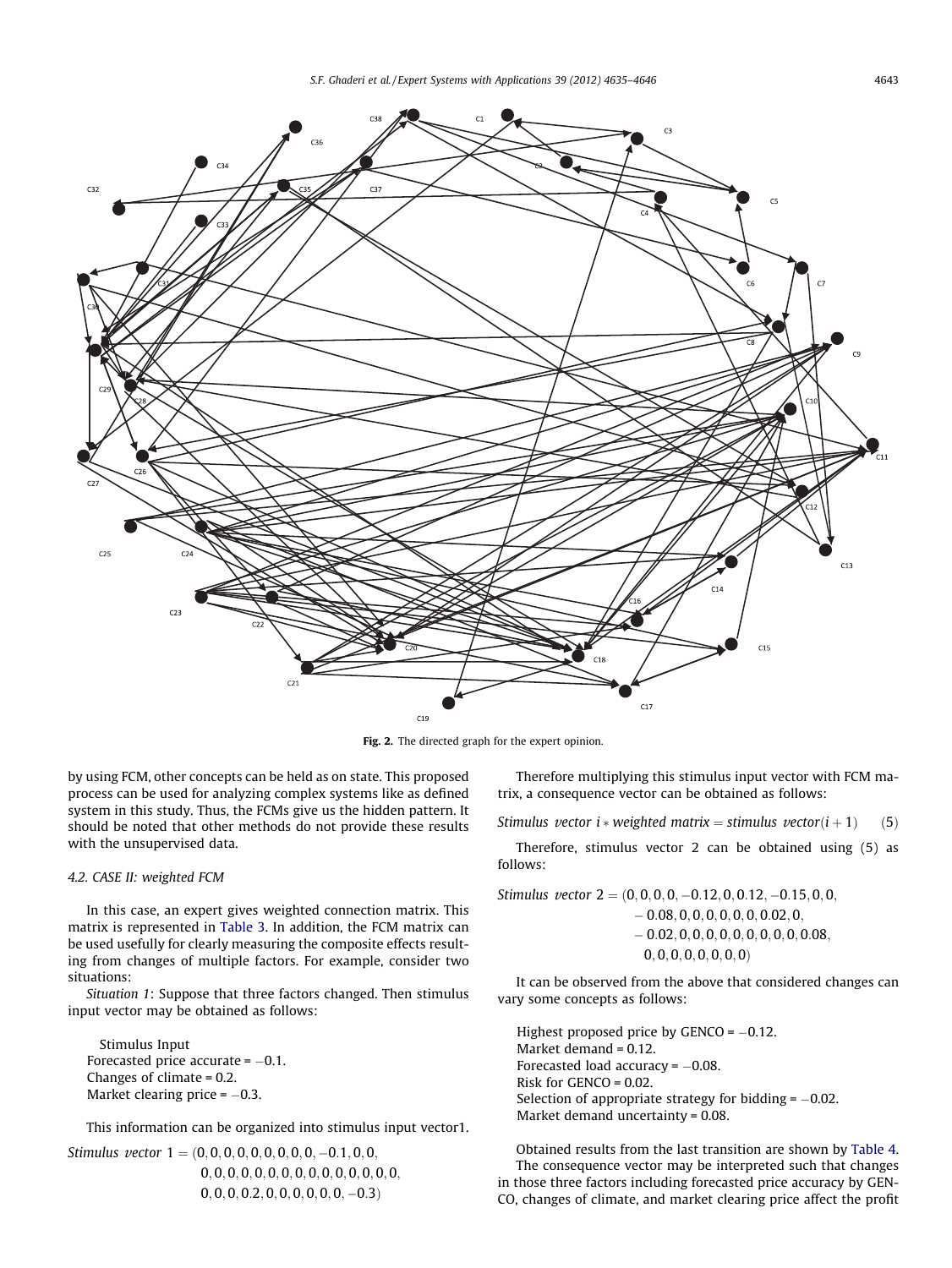<span id="page-8-0"></span>

Fig. 2. The directed graph for the expert opinion.

by using FCM, other concepts can be held as on state. This proposed process can be used for analyzing complex systems like as defined system in this study. Thus, the FCMs give us the hidden pattern. It should be noted that other methods do not provide these results with the unsupervised data.

### 4.2. CASE II: weighted FCM

In this case, an expert gives weighted connection matrix. This matrix is represented in Table 3. In addition, the FCM matrix can be used usefully for clearly measuring the composite effects resulting from changes of multiple factors. For example, consider two situations:

Situation 1: Suppose that three factors changed. Then stimulus input vector may be obtained as follows:

Stimulus Input Forecasted price accurate =  $-0.1$ . Changes of climate = 0.2. Market clearing price =  $-0.3$ .

This information can be organized into stimulus input vector1.

Stimulus vector  $1 = (0, 0, 0, 0, 0, 0, 0, 0, 0, -0.1, 0, 0, 0)$ 0; 0; 0; 0; 0; 0; 0; 0; 0; 0; 0; 0; 0; 0; 0;  $(0, 0, 0, 0.2, 0, 0, 0, 0, 0, 0, -0.3)$ 

Therefore multiplying this stimulus input vector with FCM matrix, a consequence vector can be obtained as follows:

Stimulus vector i \* weighted matrix = stimulus vector $(i + 1)$  (5)

Therefore, stimulus vector 2 can be obtained using (5) as follows:

Stimulus vector 2 ¼ ð0; 0; 0; 0; -0:12; 0; 0:12; -0:15; 0; 0;  $-0.08, 0, 0, 0, 0, 0, 0, 0.02, 0,$  $-0.02, 0, 0, 0, 0, 0, 0, 0, 0, 0, 0.08,$  $0, 0, 0, 0, 0, 0, 0, 0)$ 

It can be observed from the above that considered changes can vary some concepts as follows:

Highest proposed price by  $GENCO = -0.12$ . Market demand = 0.12. Forecasted load accuracy  $= -0.08$ . Risk for GENCO = 0.02. Selection of appropriate strategy for bidding  $= -0.02$ . Market demand uncertainty = 0.08.

Obtained results from the last transition are shown by Table 4. The consequence vector may be interpreted such that changes in those three factors including forecasted price accuracy by GEN-CO, changes of climate, and market clearing price affect the profit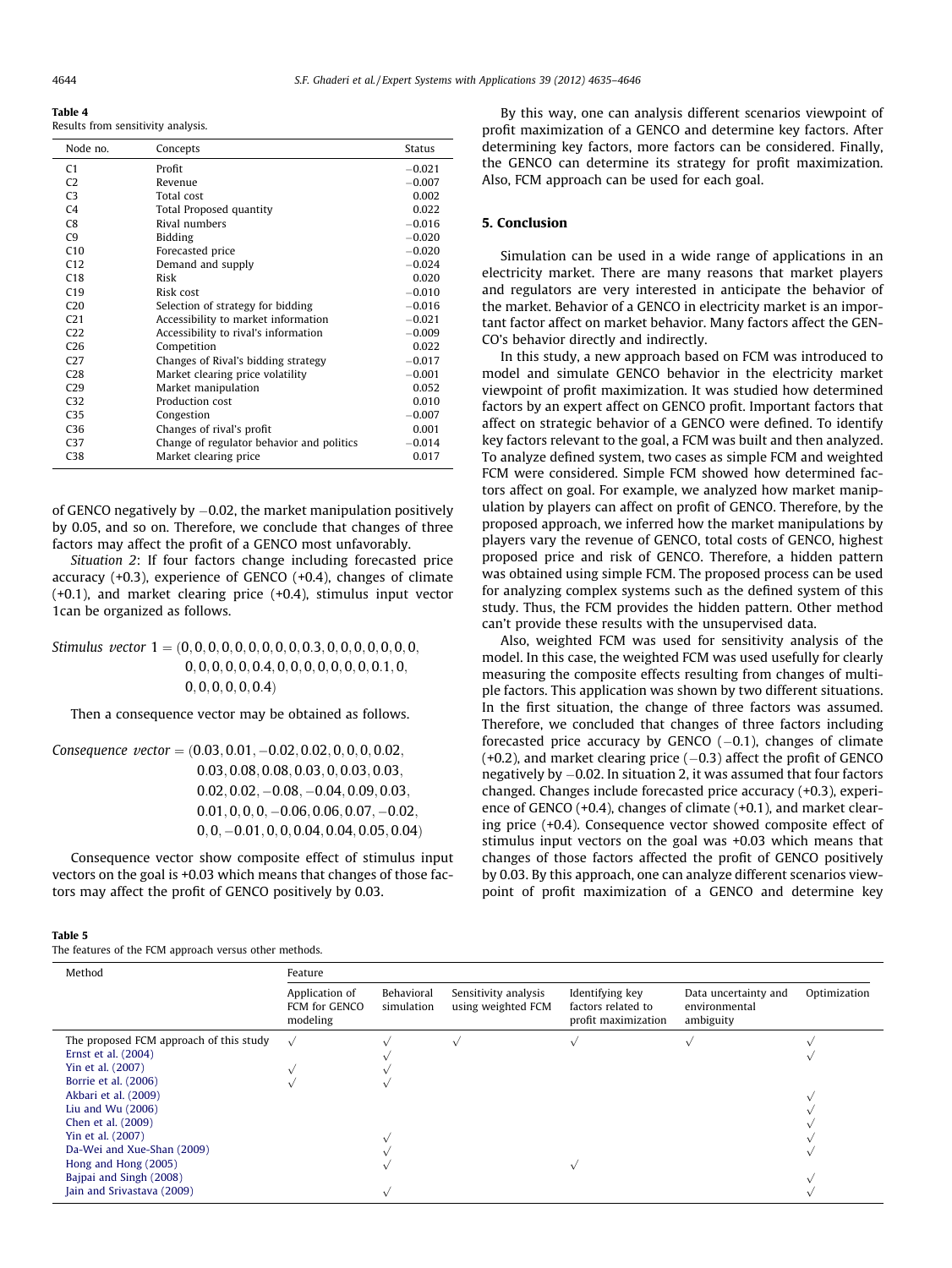<span id="page-9-0"></span>Table 4

Results from sensitivity analysis.

| Node no.        | Concepts                                  | <b>Status</b> |
|-----------------|-------------------------------------------|---------------|
| C1              | Profit                                    | $-0.021$      |
| C <sub>2</sub>  | Revenue                                   | $-0.007$      |
| C <sub>3</sub>  | Total cost                                | 0.002         |
| C <sub>4</sub>  | Total Proposed quantity                   | 0.022         |
| C8              | Rival numbers                             | $-0.016$      |
| C <sub>9</sub>  | <b>Bidding</b>                            | $-0.020$      |
| C10             | Forecasted price                          | $-0.020$      |
| C12             | Demand and supply                         | $-0.024$      |
| C18             | Risk                                      | 0.020         |
| C19             | Risk cost                                 | $-0.010$      |
| C <sub>20</sub> | Selection of strategy for bidding         | $-0.016$      |
| C <sub>21</sub> | Accessibility to market information       | $-0.021$      |
| C <sub>22</sub> | Accessibility to rival's information      | $-0.009$      |
| C <sub>26</sub> | Competition                               | 0.022         |
| C <sub>27</sub> | Changes of Rival's bidding strategy       | $-0.017$      |
| C <sub>28</sub> | Market clearing price volatility          | $-0.001$      |
| C <sub>29</sub> | Market manipulation                       | 0.052         |
| C <sub>32</sub> | Production cost                           | 0.010         |
| C <sub>35</sub> | Congestion                                | $-0.007$      |
| C36             | Changes of rival's profit                 | 0.001         |
| C <sub>37</sub> | Change of regulator behavior and politics | $-0.014$      |
| C <sub>38</sub> | Market clearing price                     | 0.017         |

of GENCO negatively by –0.02, the market manipulation positively by 0.05, and so on. Therefore, we conclude that changes of three factors may affect the profit of a GENCO most unfavorably.

Situation 2: If four factors change including forecasted price accuracy (+0.3), experience of GENCO (+0.4), changes of climate (+0.1), and market clearing price (+0.4), stimulus input vector 1can be organized as follows.

Stimulus vector 1 ¼ ð0; 0; 0; 0; 0; 0; 0; 0; 0; 0:3; 0; 0; 0; 0; 0; 0; 0;  $0, 0, 0, 0, 0, 0.4, 0, 0, 0, 0, 0, 0, 0, 0.1, 0,$  $0, 0, 0, 0, 0, 0.4$ 

Then a consequence vector may be obtained as follows.

 $Consequence \, vector = (0.03, 0.01, -0.02, 0.02, 0, 0, 0, 0.02,$ 0:03; 0:08; 0:08; 0:03; 0; 0:03; 0:03;  $0.02, 0.02, -0.08, -0.04, 0.09, 0.03,$  $0.01, 0, 0, 0, -0.06, 0.06, 0.07, -0.02,$  $(0, 0, -0.01, 0, 0, 0.04, 0.04, 0.05, 0.04)$ 

Consequence vector show composite effect of stimulus input vectors on the goal is +0.03 which means that changes of those factors may affect the profit of GENCO positively by 0.03.

|--|--|

The features of the FCM approach versus other methods.

By this way, one can analysis different scenarios viewpoint of profit maximization of a GENCO and determine key factors. After determining key factors, more factors can be considered. Finally, the GENCO can determine its strategy for profit maximization. Also, FCM approach can be used for each goal.

### 5. Conclusion

Simulation can be used in a wide range of applications in an electricity market. There are many reasons that market players and regulators are very interested in anticipate the behavior of the market. Behavior of a GENCO in electricity market is an important factor affect on market behavior. Many factors affect the GEN-CO's behavior directly and indirectly.

In this study, a new approach based on FCM was introduced to model and simulate GENCO behavior in the electricity market viewpoint of profit maximization. It was studied how determined factors by an expert affect on GENCO profit. Important factors that affect on strategic behavior of a GENCO were defined. To identify key factors relevant to the goal, a FCM was built and then analyzed. To analyze defined system, two cases as simple FCM and weighted FCM were considered. Simple FCM showed how determined factors affect on goal. For example, we analyzed how market manipulation by players can affect on profit of GENCO. Therefore, by the proposed approach, we inferred how the market manipulations by players vary the revenue of GENCO, total costs of GENCO, highest proposed price and risk of GENCO. Therefore, a hidden pattern was obtained using simple FCM. The proposed process can be used for analyzing complex systems such as the defined system of this study. Thus, the FCM provides the hidden pattern. Other method can't provide these results with the unsupervised data.

Also, weighted FCM was used for sensitivity analysis of the model. In this case, the weighted FCM was used usefully for clearly measuring the composite effects resulting from changes of multiple factors. This application was shown by two different situations. In the first situation, the change of three factors was assumed. Therefore, we concluded that changes of three factors including forecasted price accuracy by  $GENCO$   $(-0.1)$ , changes of climate  $(+0.2)$ , and market clearing price  $(-0.3)$  affect the profit of GENCO negatively by -0.02. In situation 2, it was assumed that four factors changed. Changes include forecasted price accuracy (+0.3), experience of GENCO (+0.4), changes of climate (+0.1), and market clearing price (+0.4). Consequence vector showed composite effect of stimulus input vectors on the goal was +0.03 which means that changes of those factors affected the profit of GENCO positively by 0.03. By this approach, one can analyze different scenarios viewpoint of profit maximization of a GENCO and determine key

| Method                                  | Feature                                     |                          |                                            |                                                              |                                                    |              |
|-----------------------------------------|---------------------------------------------|--------------------------|--------------------------------------------|--------------------------------------------------------------|----------------------------------------------------|--------------|
|                                         | Application of<br>FCM for GENCO<br>modeling | Behavioral<br>simulation | Sensitivity analysis<br>using weighted FCM | Identifying key<br>factors related to<br>profit maximization | Data uncertainty and<br>environmental<br>ambiguity | Optimization |
| The proposed FCM approach of this study | $\sqrt{ }$                                  |                          |                                            |                                                              |                                                    |              |
| Ernst et al. (2004)                     |                                             |                          |                                            |                                                              |                                                    |              |
| Yin et al. (2007)                       |                                             |                          |                                            |                                                              |                                                    |              |
| Borrie et al. (2006)                    |                                             |                          |                                            |                                                              |                                                    |              |
| Akbari et al. (2009)                    |                                             |                          |                                            |                                                              |                                                    |              |
| Liu and Wu $(2006)$                     |                                             |                          |                                            |                                                              |                                                    |              |
| Chen et al. (2009)                      |                                             |                          |                                            |                                                              |                                                    |              |
| Yin et al. (2007)                       |                                             |                          |                                            |                                                              |                                                    |              |
| Da-Wei and Xue-Shan (2009)              |                                             |                          |                                            |                                                              |                                                    |              |
| Hong and Hong (2005)                    |                                             |                          |                                            |                                                              |                                                    |              |
| Bajpai and Singh (2008)                 |                                             |                          |                                            |                                                              |                                                    |              |
| Jain and Srivastava (2009)              |                                             |                          |                                            |                                                              |                                                    |              |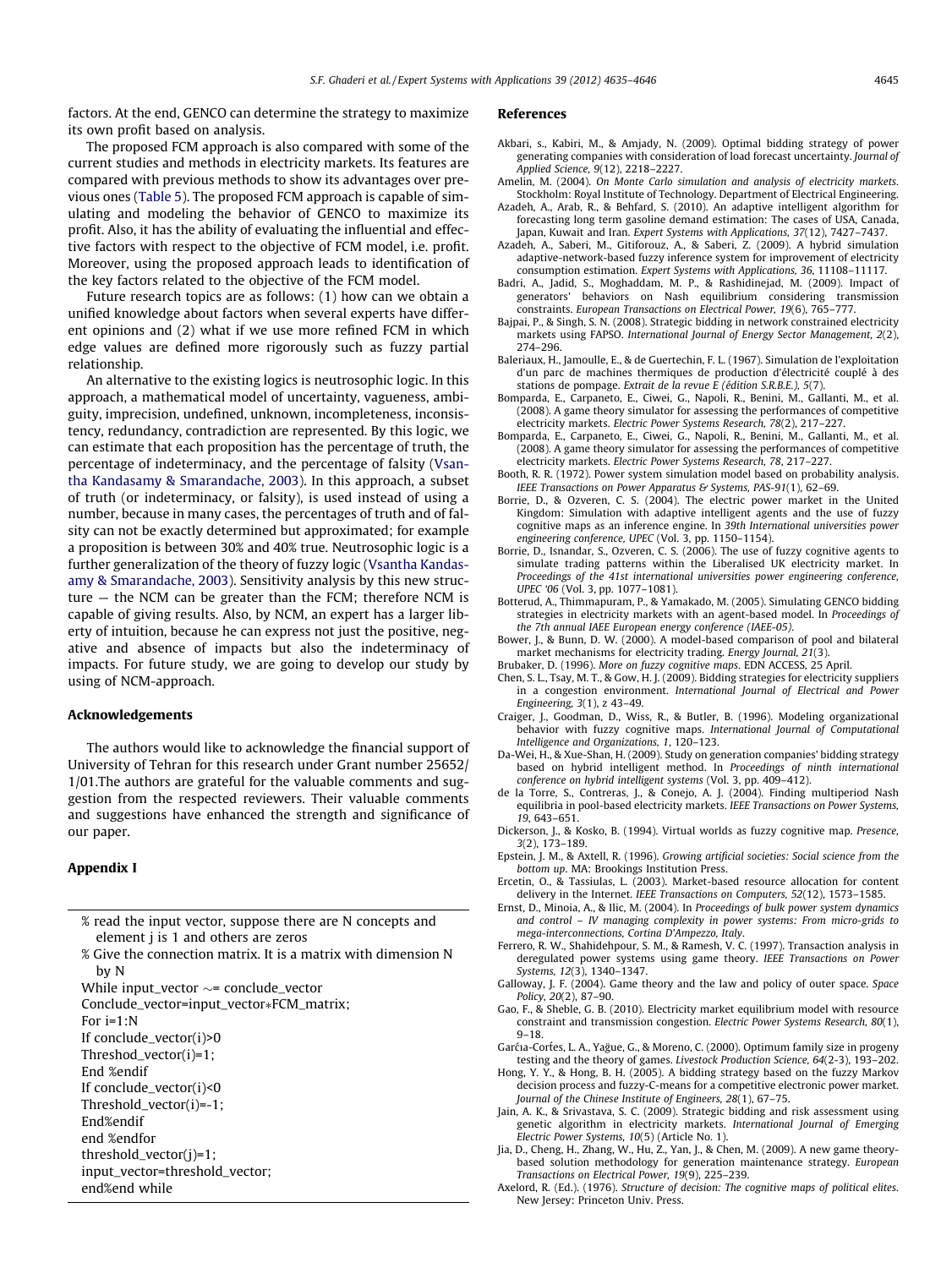<span id="page-10-0"></span>factors. At the end, GENCO can determine the strategy to maximize its own profit based on analysis.

The proposed FCM approach is also compared with some of the current studies and methods in electricity markets. Its features are compared with previous methods to show its advantages over previous ones (Table 5). The proposed FCM approach is capable of simulating and modeling the behavior of GENCO to maximize its profit. Also, it has the ability of evaluating the influential and effective factors with respect to the objective of FCM model, i.e. profit. Moreover, using the proposed approach leads to identification of the key factors related to the objective of the FCM model.

Future research topics are as follows: (1) how can we obtain a unified knowledge about factors when several experts have different opinions and (2) what if we use more refined FCM in which edge values are defined more rigorously such as fuzzy partial relationship.

An alternative to the existing logics is neutrosophic logic. In this approach, a mathematical model of uncertainty, vagueness, ambiguity, imprecision, undefined, unknown, incompleteness, inconsistency, redundancy, contradiction are represented. By this logic, we can estimate that each proposition has the percentage of truth, the percentage of indeterminacy, and the percentage of falsity ([Vsan](#page-11-0)[tha Kandasamy & Smarandache, 2003](#page-11-0)). In this approach, a subset of truth (or indeterminacy, or falsity), is used instead of using a number, because in many cases, the percentages of truth and of falsity can not be exactly determined but approximated; for example a proposition is between 30% and 40% true. Neutrosophic logic is a further generalization of the theory of fuzzy logic ([Vsantha Kandas](#page-11-0)[amy & Smarandache, 2003](#page-11-0)). Sensitivity analysis by this new structure — the NCM can be greater than the FCM; therefore NCM is capable of giving results. Also, by NCM, an expert has a larger liberty of intuition, because he can express not just the positive, negative and absence of impacts but also the indeterminacy of impacts. For future study, we are going to develop our study by using of NCM-approach.

### Acknowledgements

The authors would like to acknowledge the financial support of University of Tehran for this research under Grant number 25652/ 1/01.The authors are grateful for the valuable comments and suggestion from the respected reviewers. Their valuable comments and suggestions have enhanced the strength and significance of our paper.

### Appendix I

- % read the input vector, suppose there are N concepts and element j is 1 and others are zeros
- % Give the connection matrix. It is a matrix with dimension N by N
- While input\_vector  $\sim=$  conclude\_vector

Conclude\_vector=input\_vector\*FCM\_matrix;

- For i=1:N
- If conclude\_vector(i)>0
- Threshod\_vector(i)=1;
- End %endif
- If conclude\_vector(i)<0
- Threshold\_vector(i)=-1;
- End%endif
- end %endfor
- threshold\_vector(j)=1;
- input\_vector=threshold\_vector;
- end%end while
- 

### References

- Akbari, s., Kabiri, M., & Amjady, N. (2009). Optimal bidding strategy of power generating companies with consideration of load forecast uncertainty. Journal of Applied Science, 9(12), 2218–2227.
- Amelin, M. (2004). On Monte Carlo simulation and analysis of electricity markets. Stockholm: Royal Institute of Technology. Department of Electrical Engineering.
- Azadeh, A., Arab, R., & Behfard, S. (2010). An adaptive intelligent algorithm for forecasting long term gasoline demand estimation: The cases of USA, Canada, Japan, Kuwait and Iran. Expert Systems with Applications, 37(12), 7427–7437.
- Azadeh, A., Saberi, M., Gitiforouz, A., & Saberi, Z. (2009). A hybrid simulation adaptive-network-based fuzzy inference system for improvement of electricity consumption estimation. Expert Systems with Applications, 36, 11108–11117.
- Badri, A., Jadid, S., Moghaddam, M. P., & Rashidinejad, M. (2009). Impact of generators' behaviors on Nash equilibrium considering transmission constraints. European Transactions on Electrical Power, 19(6), 765–777.
- Bajpai, P., & Singh, S. N. (2008). Strategic bidding in network constrained electricity markets using FAPSO. International Journal of Energy Sector Management, 2(2), 274–296.
- Baleriaux, H., Jamoulle, E., & de Guertechin, F. L. (1967). Simulation de l'exploitation d'un parc de machines thermiques de production d'électricité couplé à des stations de pompage. Extrait de la revue E (édition S.R.B.E.), 5(7).
- Bomparda, E., Carpaneto, E., Ciwei, G., Napoli, R., Benini, M., Gallanti, M., et al. (2008). A game theory simulator for assessing the performances of competitive electricity markets. Electric Power Systems Research, 78(2), 217–227.
- Bomparda, E., Carpaneto, E., Ciwei, G., Napoli, R., Benini, M., Gallanti, M., et al. (2008). A game theory simulator for assessing the performances of competitive electricity markets. Electric Power Systems Research, 78, 217–227.
- Booth, R. R. (1972). Power system simulation model based on probability analysis. IEEE Transactions on Power Apparatus & Systems, PAS-91(1), 62–69.
- Borrie, D., & Ozveren, C. S. (2004). The electric power market in the United Kingdom: Simulation with adaptive intelligent agents and the use of fuzzy cognitive maps as an inference engine. In 39th International universities power engineering conference, UPEC (Vol. 3, pp. 1150–1154).
- Borrie, D., Isnandar, S., Ozveren, C. S. (2006). The use of fuzzy cognitive agents to simulate trading patterns within the Liberalised UK electricity market. In Proceedings of the 41st international universities power engineering conference, UPEC '06 (Vol. 3, pp. 1077–1081).
- Botterud, A., Thimmapuram, P., & Yamakado, M. (2005). Simulating GENCO bidding strategies in electricity markets with an agent-based model. In Proceedings of the 7th annual IAEE European energy conference (IAEE-05).
- Bower, J., & Bunn, D. W. (2000). A model-based comparison of pool and bilateral market mechanisms for electricity trading. Energy Journal, 21(3).
- Brubaker, D. (1996). More on fuzzy cognitive maps. EDN ACCESS, 25 April.
- Chen, S. L., Tsay, M. T., & Gow, H. J. (2009). Bidding strategies for electricity suppliers in a congestion environment. International Journal of Electrical and Power Engineering, 3(1), z 43–49.
- Craiger, J., Goodman, D., Wiss, R., & Butler, B. (1996). Modeling organizational behavior with fuzzy cognitive maps. International Journal of Computational Intelligence and Organizations, 1, 120–123.
- Da-Wei, H., & Xue-Shan, H. (2009). Study on generation companies' bidding strategy based on hybrid intelligent method. In Proceedings of ninth international conference on hybrid intelligent systems (Vol. 3, pp. 409–412).
- de la Torre, S., Contreras, J., & Conejo, A. J. (2004). Finding multiperiod Nash equilibria in pool-based electricity markets. IEEE Transactions on Power Systems, 19, 643–651.
- Dickerson, J., & Kosko, B. (1994). Virtual worlds as fuzzy cognitive map. Presence, 3(2), 173–189.
- Epstein, J. M., & Axtell, R. (1996). Growing artificial societies: Social science from the bottom up. MA: Brookings Institution Press.
- Ercetin, O., & Tassiulas, L. (2003). Market-based resource allocation for content delivery in the Internet. IEEE Transactions on Computers, 52(12), 1573–1585.
- Ernst, D., Minoia, A., & Ilic, M. (2004). In Proceedings of bulk power system dynamics and control – IV managing complexity in power systems: From micro-grids to mega-interconnections, Cortina D'Ampezzo, Italy.
- Ferrero, R. W., Shahidehpour, S. M., & Ramesh, V. C. (1997). Transaction analysis in deregulated power systems using game theory. IEEE Transactions on Power Systems, 12(3), 1340–1347.
- Galloway, J. F. (2004). Game theory and the law and policy of outer space. Space Policy, 20(2), 87–90.
- Gao, F., & Sheble, G. B. (2010). Electricity market equilibrium model with resource constraint and transmission congestion. Electric Power Systems Research, 80(1), 9–18.
- Garćia-Cortes, L. A., Yağue, G., & Moreno, C. (2000). Optimum family size in progeny testing and the theory of games. Livestock Production Science, 64(2-3), 193–202.
- Hong, Y. Y., & Hong, B. H. (2005). A bidding strategy based on the fuzzy Markov decision process and fuzzy-C-means for a competitive electronic power market. Journal of the Chinese Institute of Engineers, 28(1), 67–75.
- Jain, A. K., & Srivastava, S. C. (2009). Strategic bidding and risk assessment using genetic algorithm in electricity markets. International Journal of Emerging Electric Power Systems, 10(5) (Article No. 1).
- Jia, D., Cheng, H., Zhang, W., Hu, Z., Yan, J., & Chen, M. (2009). A new game theorybased solution methodology for generation maintenance strategy. European Transactions on Electrical Power, 19(9), 225–239.
- Axelord, R. (Ed.). (1976). Structure of decision: The cognitive maps of political elites. New Jersey: Princeton Univ. Press.